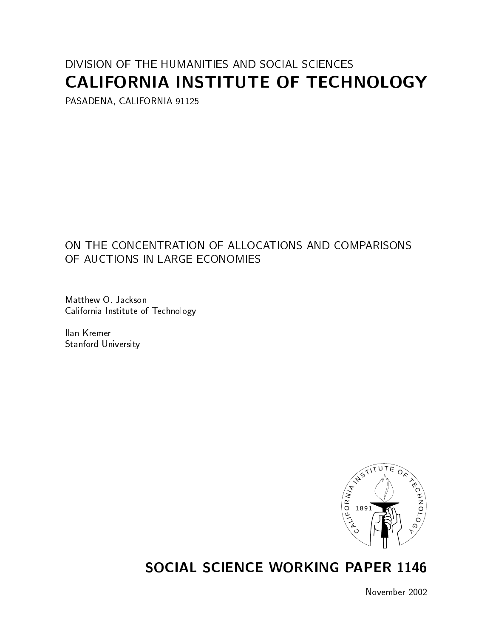# DIVISION OF THE HUMANITIES AND SOCIAL SCIENCES CALIFORNIA INSTITUTE OF TECHNOLOGY

PASADENA, CALIFORNIA 91125

## ON THE CONCENTRATION OF ALLOCATIONS AND COMPARISONS OF AUCTIONS IN LARGE ECONOMIES

Matthew O. Jackson California Institute of Technology

Ilan Kremer Stanford University



## SOCIAL SCIENCE WORKING PAPER 1146

November 2002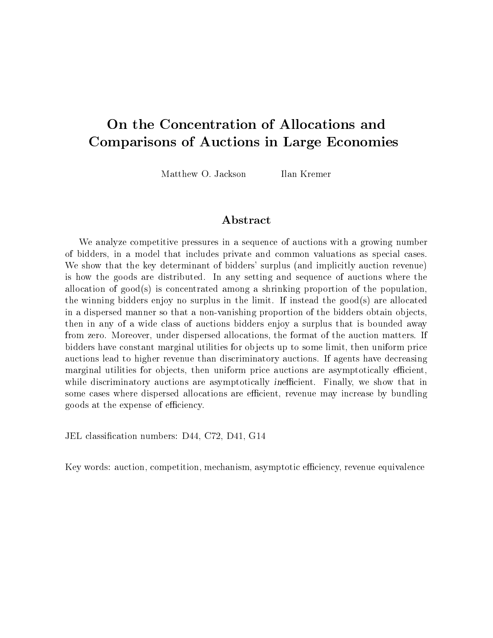## On the Concentration of Allocations and Comparisons of Auctions in Large Economies

Matthew O. Jackson

Ilan Kremer

We analyze competitive pressures in a sequence of auctions with a growing number of bidders, in a model that includes private and common valuations as special cases. We show that the key determinant of bidders' surplus (and implicitly auction revenue) is how the goods are distributed. In any setting and sequence of auctions where the allocation of good(s) is concentrated among a shrinking proportion of the population, the winning bidders enjoy no surplus in the limit. If instead the good(s) are allocated in a dispersed manner so that a non-vanishing proportion of the bidders obtain objects, then in any of a wide class of auctions bidders enjoy a surplus that is bounded away from zero. Moreover, under dispersed allocations, the format of the auction matters. If bidders have constant marginal utilities for objects up to some limit, then uniform price auctions lead to higher revenue than discriminatory auctions. If agents have decreasing marginal utilities for objects, then uniform price auctions are asymptotically efficient, while discriminatory auctions are asymptotically inefficient. Finally, we show that in some cases where dispersed allocations are efficient, revenue may increase by bundling goods at the expense of efficiency.

JEL classication numbers: D44, C72, D41, G14

Key words: auction, competition, mechanism, asymptotic efficiency, revenue equivalence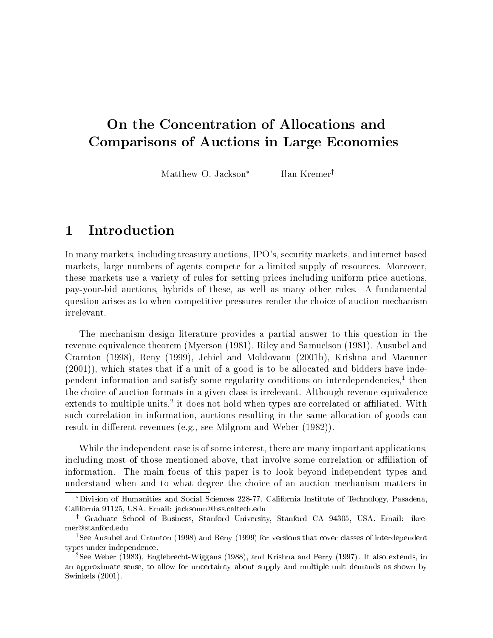## On the Concentration of Allocations and Comparisons of Auctions in Large Economies

Matthew O. Jackson<sup>\*</sup> Ilan Kremer<sup>†</sup>

#### **Introduction**  $\mathbf{1}$

In many markets, including treasury auctions, IPO's, security markets, and internet based markets, large numbers of agents compete for a limited supply of resources. Moreover, these markets use a variety of rules for setting prices including uniform price auctions, pay-your-bid auctions, hybrids of these, as well as many other rules. A fundamental question arises as to when competitive pressures render the choice of auction mechanism irrelevant.

The mechanism design literature provides a partial answer to this question in the revenue equivalence theorem (Myerson (1981), Riley and Samuelson (1981), Ausubel and Cramton (1998), Reny (1999), Jehiel and Moldovanu (2001b), Krishna and Maenner (2001)), which states that if a unit of a good is to be allocated and bidders have independent information and satisfy some regularity conditions on interdependencies, $<sup>1</sup>$  then</sup> the choice of auction formats in a given class is irrelevant. Although revenue equivalence extends to multiple units,<sup>-</sup> it does not hold when types are correlated or allillated. With such correlation in information, auctions resulting in the same allocation of goods can result in different revenues (e.g., see Milgrom and Weber (1982)).

While the independent case is of some interest, there are many important applications, including most of those mentioned above, that involve some correlation or affiliation of information. The main focus of this paper is to look beyond independent types and understand when and to what degree the choice of an auction mechanism matters in

Division of Humanities and Social Sciences 228-77, California Institute of Technology, Pasadena, California 91125, USA. Email: jacksonm@hss.caltech.edu

<sup>y</sup> Graduate School of Business, Stanford University, Stanford CA 94305,USA. Email: ikremer@stanford.edu

<sup>1</sup>See Ausubel and Cramton (1998) and Reny (1999) for versions that cover classes of interdependent types under independence.

<sup>2</sup>See Weber (1983), Englebrecht-Wiggans (1988), and Krishna and Perry (1997). It also extends, in an approximate sense, to allow for uncertainty about supply and multiple unit demands as shown by Swinkels (2001).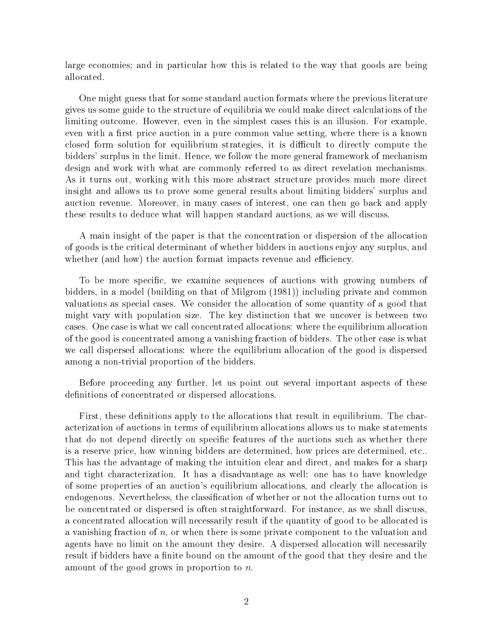large economies; and in particular how this is related to the way that goods are being allocated.

One might guess that for some standard auction formats where the previous literature gives us some guide to the structure of equilibria we could make direct calculations of the limiting outcome. However, even in the simplest cases this is an illusion. For example, even with a first price auction in a pure common value setting, where there is a known closed form solution for equilibrium strategies, it is difficult to directly compute the bidders' surplus in the limit. Hence, we follow the more general framework of mechanism design and work with what are commonly referred to as direct revelation mechanisms. As it turns out, working with this more abstract structure provides much more direct insight and allows us to prove some general results about limiting bidders' surplus and auction revenue. Moreover, in many cases of interest, one can then go back and apply these results to deduce what will happen standard auctions, as we will discuss.

A main insight of the paper is that the concentration ordispersion of the allocation of goods is the critical determinant of whether bidders in auctions enjoy any surplus, and whether (and how) the auction format impacts revenue and efficiency.

To be more specic, we examine sequences of auctions with growing numbers of bidders, in a model (building on that of Milgrom (1981)) including private and common valuations as special cases. We consider the allocation of some quantity of a good that might vary with population size. The key distinction that we uncover is between two cases. One case is what we call concentrated allocations: where the equilibrium allocation of the good is concentrated among a vanishing fraction of bidders. The other case is what we call dispersed allocations: where the equilibrium allocation of the good is dispersed among a non-trivial proportion of the bidders.

Before proceeding any further, let us point out several important aspects of these definitions of concentrated or dispersed allocations.

First, these definitions apply to the allocations that result in equilibrium. The characterization of auctions in terms of equilibrium allocations allows us to make statements that do not depend directly on specic features of the auctions such as whether there is a reserve price, how winning bidders are determined, how prices are determined, etc.. This has the advantage of making the intuition clear and direct, and makes for a sharp and tight characterization. It has a disadvantage as well: one has to have knowledge of some properties of an auction's equilibrium allocations, and clearly the allocation is endogenous. Nevertheless, the classification of whether or not the allocation turns out to be concentrated or dispersed is often straightforward. For instance, as we shall discuss, a concentrated allocation will necessarily result if the quantity of good to be allocated is a vanishing fraction of  $n$ , or when there is some private component to the valuation and agents have no limit on the amount they desire. A dispersed allocation will necessarily result if bidders have a finite bound on the amount of the good that they desire and the amount of the good grows in proportion to  $n$ .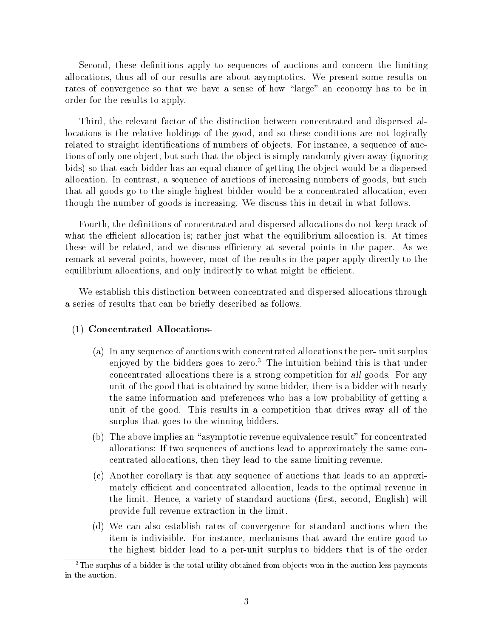Second, these definitions apply to sequences of auctions and concern the limiting allocations, thus all of our results are about asymptotics. We present some results on rates of convergence so that we have a sense of how "large" an economy has to be in order for the results to apply.

Third, the relevant factor of the distinction between concentrated and dispersed allocations is the relative holdings of the good, and so these conditions are not logically related to straight identifications of numbers of objects. For instance, a sequence of auctions of only one object, but such that the object is simply randomly given away (ignoring bids) so that each bidder has an equal chance of getting the object would be a dispersed allocation. In contrast, a sequence of auctions of increasing numbers of goods, but such that all goods go to the single highest bidder would be a concentrated allocation, even though the number of goods is increasing. We discuss this in detail in what follows.

Fourth, the definitions of concentrated and dispersed allocations do not keep track of what the efficient allocation is; rather just what the equilibrium allocation is. At times these will be related, and we discuss efficiency at several points in the paper. As we remark at several points, however, most of the results in the paper apply directly to the equilibrium allocations, and only indirectly to what might be efficient.

We establish this distinction between concentrated and dispersed allocations through a series of results that can be briefly described as follows.

#### (1) Concentrated Allocations-

- (a) In any sequence of auctions with concentrated allocations the per- unit surplus enjoyed by the bidders goes to zero.<sup>3</sup> The intuition behind this is that under concentrated allocations there is a strong competition for all goods. For any unit of the good that is obtained by some bidder, there is a bidder with nearly the same information and preferences who has a low probability of getting a unit of the good. This results in a competition that drives away all of the surplus that goes to the winning bidders.
- (b) The above implies an "asymptotic revenue equivalence result" for concentrated allocations: If two sequences of auctions lead to approximately the same concentrated allocations, then they lead to the same limiting revenue.
- (c) Another corollary is that any sequence of auctions that leads to an approximately efficient and concentrated allocation, leads to the optimal revenue in the limit. Hence, a variety of standard auctions (first, second, English) will provide full revenue extraction in the limit.
- (d) We can also establish rates of convergence for standard auctions when the item is indivisible. For instance, mechanisms that award the entire good to the highest bidder lead to a per-unit surplus to bidders that is of the order

 $3$ The surplus of a bidder is the total utility obtained from objects won in the auction less payments in the auction.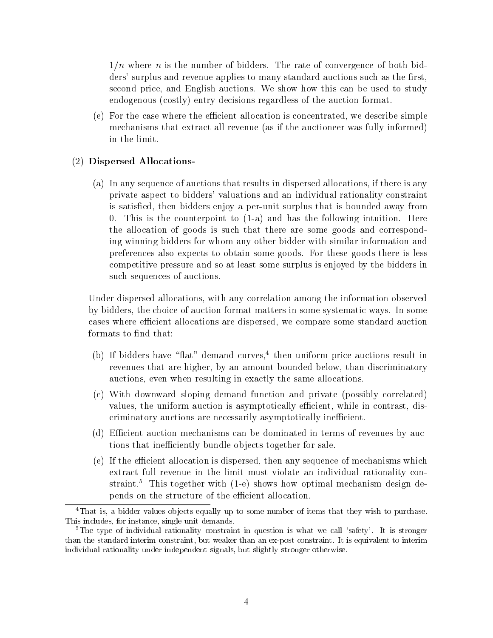$1/n$  where n is the number of bidders. The rate of convergence of both bidders' surplus and revenue applies to many standard auctions such as the first, second price, and English auctions. We show how this can be used to study endogenous (costly) entry decisions regardless of the auction format.

 $(e)$  For the case where the efficient allocation is concentrated, we describe simple mechanisms that extract all revenue (as if the auctioneer was fully informed) in the limit.

#### (2) Dispersed Allocations-

(a) In any sequence of auctions that results in dispersed allocations, if there is any private aspect to bidders' valuations and an individual rationality constraint is satisfied, then bidders enjoy a per-unit surplus that is bounded away from 0. This is the counterpoint to (1-a) and has the following intuition. Here the allocation of goods is such that there are some goods and corresponding winning bidders for whom any other bidder with similar information and preferences also expects to obtain some goods. For these goods there is less competitive pressure and so at least some surplus is enjoyed by the bidders in such sequences of auctions.

Under dispersed allocations, with any correlation among the information observed by bidders, the choice of auction format matters in some systematic ways. In some cases where efficient allocations are dispersed, we compare some standard auction formats to find that:

- (b) If bidders have "flat" demand curves,<sup>4</sup> then uniform price auctions result in revenues that are higher, by an amount bounded below, than discriminatory auctions, even when resulting in exactly the same allocations.
- (c) With downward sloping demand function and private (possibly correlated) values, the uniform auction is asymptotically efficient, while in contrast, discriminatory auctions are necessarily asymptotically inefficient.
- (d) Efficient auction mechanisms can be dominated in terms of revenues by auctions that inefficiently bundle objects together for sale.
- (e) If the efficient allocation is dispersed, then any sequence of mechanisms which extract full revenue in the limit must violate an individual rationality constraint.<sup>5</sup> This together with  $(1-e)$  shows how optimal mechanism design depends on the structure of the efficient allocation.

<sup>&</sup>lt;sup>4</sup>That is, a bidder values objects equally up to some number of items that they wish to purchase. This includes, for instance, single unit demands.

 $5$ The type of individual rationality constraint in question is what we call 'safety'. It is stronger than the standard interim constraint, but weaker than an ex-post constraint. It is equivalent to interim individual rationality under independent signals, but slightly stronger otherwise.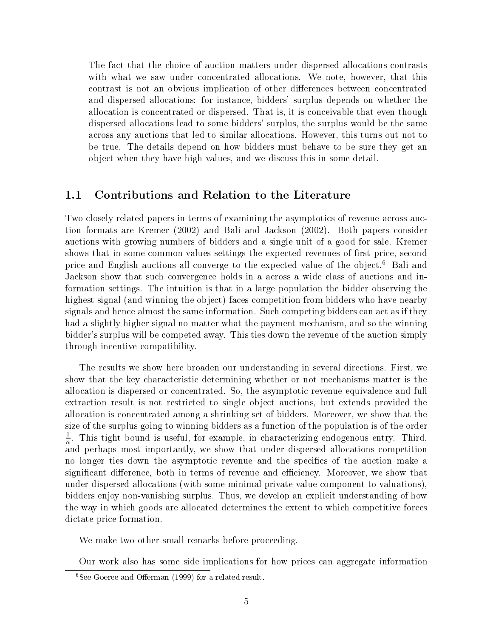The fact that the choice of auction matters under dispersed allocations contrasts with what we saw under concentrated allocations. We note, however, that this contrast is not an obvious implication of other differences between concentrated and dispersed allocations: for instance, bidders' surplus depends on whether the allocation is concentrated or dispersed. That is, it is conceivable that even though dispersed allocations lead to some bidders' surplus, the surplus would be the same across any auctions that led to similar allocations. However, this turns out not to be true. The details depend on how bidders must behave to be sure they get an ob ject when they have high values, and we discuss this in some detail.

#### 1.1 Contributions and Relation to the Literature

Two closely related papers in terms of examining the asymptotics of revenue across auction formats are Kremer (2002) and Bali and Jackson (2002). Both papers consider auctions with growing numbers of bidders and a single unit of a good for sale. Kremer shows that in some common values settings the expected revenues of first price, second price and English auctions all converge to the expected value of the object.<sup>6</sup> Bali and Jackson show that such convergence holds in a across a wide class of auctions and information settings. The intuition is that in a large population the bidder observing the highest signal (and winning the object) faces competition from bidders who have nearby signals and hence almost the same information. Such competing bidders can act as if they had a slightly higher signal no matter what the payment mechanism, and so the winning bidder's surplus will be competed away. This ties down the revenue of the auction simply through incentive compatibility.

The results we show here broaden our understanding in several directions. First, we show that the key characteristic determining whether or not mechanisms matter is the allocation is dispersed or concentrated. So, the asymptotic revenue equivalence and full extraction result is not restricted to single object auctions, but extends provided the allocation is concentrated among a shrinking set of bidders. Moreover, we show that the size of the surplus going to winning bidders as a function of the population is of the order  $\frac{1}{n}$ . This tight bound is useful, for example, in characterizing endogenous entry. Third, and perhaps most importantly, we show that under dispersed allocations competition no longer ties down the asymptotic revenue and the specifics of the auction make a significant difference, both in terms of revenue and efficiency. Moreover, we show that under dispersed allocations (with some minimal private value component to valuations), bidders enjoy non-vanishing surplus. Thus, we develop an explicit understanding of how the way in which goods are allocated determines the extent to which competitive forces dictate price formation.

We make two other small remarks before proceeding.

Our work also has some side implications for how prices can aggregate information

 $6$ See Goeree and Offerman (1999) for a related result.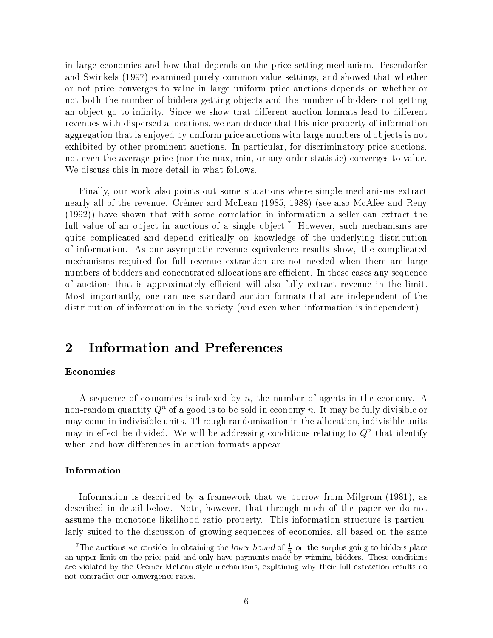in large economies and how that depends on the price setting mechanism. Pesendorfer and Swinkels (1997) examined purely common value settings, and showed that whether or not price converges to value in large uniform price auctions depends on whether or not both the number of bidders getting objects and the number of bidders not getting an object go to infinity. Since we show that different auction formats lead to different revenues with dispersed allocations, we can deduce that this nice property of information aggregation that is enjoyed by uniform price auctions with large numbers of objects is not exhibited by other prominent auctions. In particular, for discriminatory price auctions, not even the average price (nor the max, min, or any order statistic) converges to value. We discuss this in more detail in what follows.

Finally, our work also points out some situations where simple mechanisms extract nearly all of the revenue. Crémer and McLean (1985, 1988) (see also McAfee and Reny (1992)) have shown that with some correlation in information a seller can extract the full value of an object in auctions of a single object.<sup>7</sup> However, such mechanisms are quite complicated and depend critically on knowledge of the underlying distribution of information. As our asymptotic revenue equivalence results show, the complicated mechanisms required for full revenue extraction are not needed when there are large numbers of bidders and concentrated allocations are efficient. In these cases any sequence of auctions that is approximately efficient will also fully extract revenue in the limit. Most importantly, one can use standard auction formats that are independent of the distribution of information in the society (and even when information is independent).

#### $\overline{2}$ Information and Preferences

#### Economies

A sequence of economies is indexed by  $n$ , the number of agents in the economy. A non-random quantity  $Q^n$  of a good is to be sold in economy n. It may be fully divisible or may come in indivisible units. Through randomization in the allocation, indivisible units  $\max$  in eitect be divided. We will be addressing conditions relating to  $Q^+$  that identify when and how differences in auction formats appear.

#### Information

Information is described by a framework that we borrow from Milgrom (1981), as described in detail below. Note, however, that through much of the paper we do not assume the monotone likelihood ratio property. This information structure is particularly suited to the discussion of growing sequences of economies, all based on the same

<sup>&</sup>lt;sup>7</sup>The auctions we consider in obtaining the lower bound of  $\frac{1}{n}$  on the surplus going to bidders place an upper limit on the price paid and only have payments made by winning bidders. These conditions are violated by the Crémer-McLean style mechanisms, explaining why their full extraction results do not contradict our convergence rates.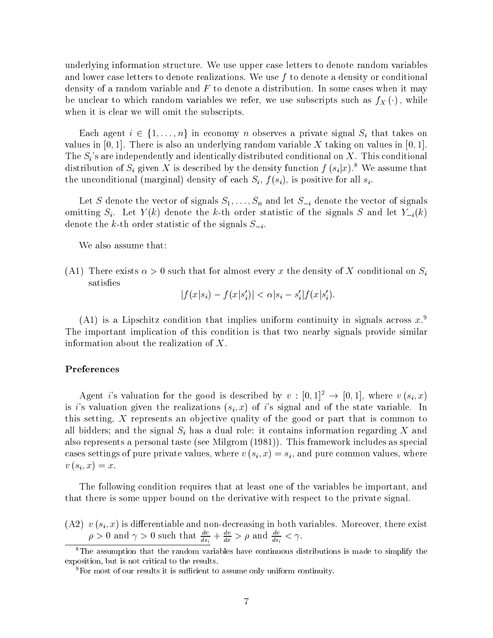underlying information structure. We use upper case letters to denote random variables and lower case letters to denote realizations. We use  $f$  to denote a density or conditional density of a random variable and  $F$  to denote a distribution. In some cases when it may be unclear to which random variables we refer, we use subscripts such as  $f_X(\cdot)$ , while when it is clear we will omit the subscripts.

Each agent  $i \in \{1,\ldots,n\}$  in economy n observes a private signal  $S_i$  that takes on values in  $[0, 1]$ . There is also an underlying random variable X taking on values in  $[0, 1]$ . The  $S_i$ 's are independently and identically distributed conditional on X. This conditional distribution of  $S_i$  given X is described by the density function  $f(s_i|x)$ .<sup>8</sup> We assume that the unconditional (marginal) density of each  $S_i$ ,  $f(s_i)$ , is positive for all  $s_i$ .

Let S denote the vector of signals  $S_1,\ldots,S_n$  and let  $S_{-i}$  denote the vector of signals omitting  $S_i$ . Let  $Y(k)$  denote the k-th order statistic of the signals S and let  $Y_{-i}(k)$ denote the k-th order statistic of the signals  $S_{-i}$ .

We also assume that:

(A1) There exists  $\alpha > 0$  such that for almost every x the density of X conditional on  $S_i$ satisfies

 $|f(x|s_i) - f(x|s'_i)| < \alpha |s_i - s'_i| f(x|s'_i).$ 

(A1) is a Lipschitz condition that implies uniform continuity in signals across  $x^9$ The important implication of this condition is that two nearby signals provide similar information about the realization of X.

#### Preferences

Agent i's valuation for the good is described by  $v : [0, 1]^2 \rightarrow [0, 1]$ , where  $v (s_i, x)$ is i's valuation given the realizations  $(s_i, x)$  of i's signal and of the state variable. In this setting, X represents an objective quality of the good or part that is common to all bidders; and the signal  $S_i$  has a dual role: it contains information regarding X and also represents a personal taste (see Milgrom (1981)). This framework includes as special cases settings of pure private values, where  $v(s_i, x) = s_i$ , and pure common values, where  $v(s_i, x) = x.$ 

The following condition requires that at least one of the variables be important, and that there is some upper bound on the derivative with respect to the private signal.

(A2)  $v(s_i, x)$  is differentiable and non-decreasing in both variables. Moreover, there exist  $\rho > 0$  and  $\gamma > 0$  such that  $\frac{a}{ds_i} + \frac{a}{dx} > \rho$  and  $\frac{a}{ds_i} < \gamma$ .

<sup>&</sup>lt;sup>8</sup>The assumption that the random variables have continuous distributions is made to simplify the exposition, but is not critical to the results.

 ${}^{9}$ For most of our results it is sufficient to assume only uniform continuity.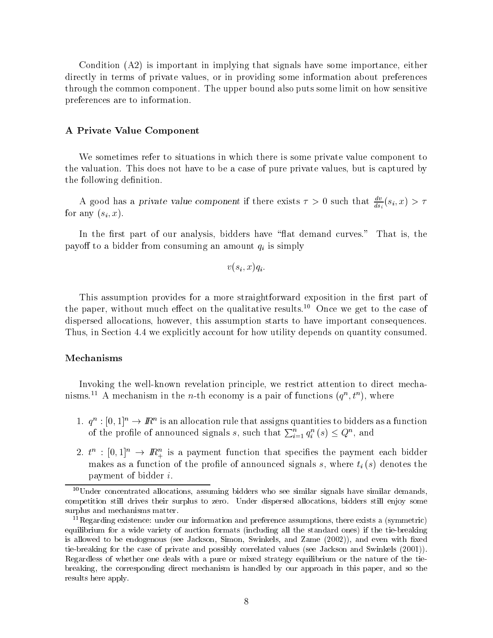Condition (A2) is important in implying that signals have some importance, either directly in terms of private values, or in providing some information about preferences through the common component. The upper bound also puts some limit on how sensitive preferences are to information.

#### A Private Value Component

We sometimes refer to situations in which there is some private value component to the valuation. This does not have to be a case of pure private values, but is captured by the following definition.

A good has a private value component if there exists  $\tau > 0$  such that  $\frac{1}{ds_i}(s_i, x) > \tau$ for any  $(s_i, x)$ .

In the first part of our analysis, bidders have "flat demand curves." That is, the payoff to a bidder from consuming an amount  $q_i$  is simply

$$
v(s_i, x)q_i.
$$

This assumption provides for a more straightforward exposition in the first part of the paper, without much effect on the qualitative results.<sup>10</sup> Once we get to the case of dispersed allocations, however, this assumption starts to have important consequences. Thus, in Section 4.4 we explicitly account for how utility depends on quantity consumed.

#### Mechanisms

Invoking the well-known revelation principle, we restrict attention to direct mechamisms.<sup>21</sup> A mechanism in the *n*-th economy is a pair of functions  $(q^{\alpha}, t^{\alpha})$ , where

- 1.  $q^n : [0,1]^n \to I\!\!R^n$  is an allocation rule that assigns quantities to bidders as a function of the profile of announced signals s, such that  $\sum_{i=1}^n q_i^n(s) \leq Q^n$ , and
- 2.  $t^n: [0,1]^n \rightarrow I\!\!R_+^n$  is a payment function that specifies the payment each bidder makes as a function of the profile of announced signals s, where  $t_i(s)$  denotes the payment of bidder i.

 $10$ Under concentrated allocations, assuming bidders who see similar signals have similar demands, competition still drives their surplus to zero. Under dispersed allocations, bidders still enjoy some surplus and mechanisms matter.

 $11$ Regarding existence: under our information and preference assumptions, there exists a (symmetric) equilibrium for a wide variety of auction formats (including all the standard ones) if the tie-breaking is allowed to be endogenous (see Jackson, Simon, Swinkels, and Zame (2002)), and even with fixed tie-breaking for the case of private and possibly correlated values (see Jackson and Swinkels (2001)). Regardless of whether one deals with a pure or mixed strategy equilibrium or the nature of the tiebreaking, the corresponding direct mechanism is handled by our approach in this paper, and so the results here apply.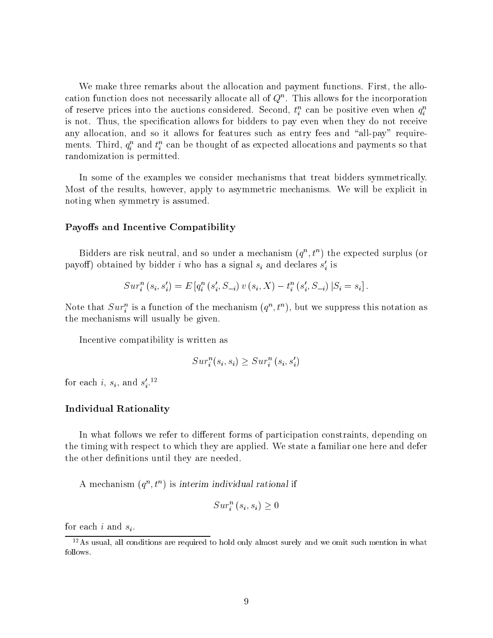We make three remarks about the allocation and payment functions. First, the allocation function does not necessarily allocate all of  $Q^\sim$ . This allows for the incorporation of reserve prices into the auctions considered. Second,  $t_i$  can be positive even when  $q_i$ is not. Thus, the specication allows for bidders to pay even when they do not receive any allocation, and so it allows for features such as entry fees and "all-pay" requirements. Third,  $q_i^*$  and  $\iota_i^*$  can be thought of as expected allocations and payments so that randomization is permitted.

In some of the examples we consider mechanisms that treat bidders symmetrically. Most of the results, however, apply to asymmetric mechanisms. We will be explicit in noting when symmetry is assumed.

#### Payoffs and Incentive Compatibility

Didders are risk neutral, and so under a mechanism  $(q_i, v_j)$  the expected surplus (or payon) obtained by bidder  $i$  who has a signal  $s_i$  and declares  $s_i$  is

$$
Sur_i^n(s_i, s_i') = E\left[q_i^n(s_i', S_{-i})v(s_i, X) - t_i^n(s_i', S_{-i})\,|S_i = s_i\right].
$$

Note that  $Sur_i^+$  is a function of the mechanism  $(q^-, t^+)$ , but we suppress this notation as the mechanisms will usually be given.

Incentive compatibility is written as

$$
Sur_i^n(s_i, s_i) \geq Sur_i^n(s_i, s_i')
$$

for each  $i, s_i$ , and  $s_i$ .

#### Individual Rationality

In what follows we refer to different forms of participation constraints, depending on the timing with respect to which they are applied. We state a familiar one here and defer the other definitions until they are needed.

 $A$  mechanism  $(q_-, t_-)$  is interim individual rational  $\Pi$ 

$$
Sur^n_i(s_i, s_i) \geq 0
$$

for each i and  $s_i$ .

 $12\text{As usual, all conditions are required to hold only almost surely and we omit such mention in what.}$ follows.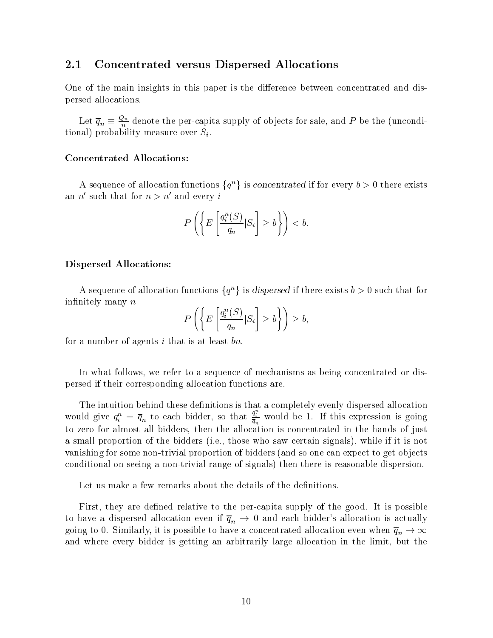#### 2.1 Concentrated versus Dispersed Allocations

One of the main insights in this paper is the difference between concentrated and dispersed allocations.

Let  $q_n \equiv \frac{\zeta_n n}{n}$  denote the per-capita supply of objects for sale, and P be the (unconditional) probability measure over  $S_i$ .

#### Concentrated Allocations:

A sequence of allocation functions  $\{q^n\}$  is *concentrated* if for every  $b > 0$  there exists an n' such that for  $n>n'$  and every i

$$
P\left(\left\{E\left[\frac{q_i^n(S)}{\bar{q}_n}|S_i\right]\geq b\right\}\right)
$$

#### Dispersed Allocations:

A sequence of allocation functions  $\{q^n\}$  is dispersed if there exists  $b > 0$  such that for infinitely many  $n$ 

$$
P\left(\left\{E\left[\frac{q_i^n(S)}{\bar{q}_n}|S_i\right]\geq b\right\}\right)\geq b,
$$

for a number of agents i that is at least  $bn$ .

In what follows, we refer to a sequence of mechanisms as being concentrated or dispersed if their corresponding allocation functions are.

The intuition behind these definitions is that a completely even like a completely event allocations is that a would give  $q_i^n = \overline{q}_n$  to each bidder, so that  $\frac{q_i}{\overline{q}_n}$  would be 1. If this expression is going to zero for almost all bidders, then the allocation is concentrated in the hands of just a small proportion of the bidders (i.e., those who saw certain signals), while ifit is not vanishing for some non-trivial proportion of bidders (and so one can expect to get objects conditional on seeing a non-trivial range of signals) then there is reasonable dispersion.

Let us make a few remarks about the details of the definitions.

First, they are defined relative to the per-capita supply of the good. It is possible to have a dispersed allocation even if  $\overline{q}_n \to 0$  and each bidder's allocation is actually going to 0. Similarly, it is possible to have a concentrated allocation even when  $q_n \rightarrow \infty$ and where every bidder is getting an arbitrarily large allocation in the limit, but the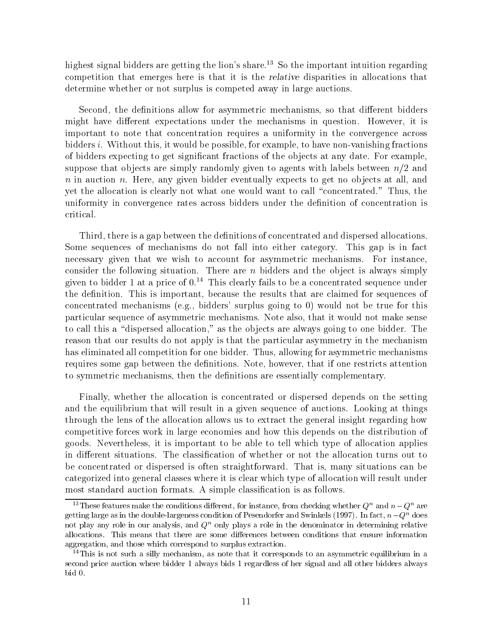highest signal bidders are getting the lion's share.<sup>13</sup> So the important intuition regarding competition that emerges here is that it is the relative disparities in allocations that determine whether or not surplus is competed away in large auctions.

Second, the definitions allow for asymmetric mechanisms, so that different bidders might have different expectations under the mechanisms in question. However, it is important to note that concentration requires a uniformity in the convergence across bidders i. Without this, it would be possible, for example, to have non-vanishing fractions of bidders expecting to get signicant fractions of the ob jects at any date. For example, suppose that objects are simply randomly given to agents with labels between  $n/2$  and  $n$  in auction  $n$ . Here, any given bidder eventually expects to get no objects at all, and yet the allocation is clearly not what one would want to call "concentrated." Thus, the uniformity in convergence rates across bidders under the definition of concentration is critical.

Third, there is a gap between the definitions of concentrated and dispersed allocations. Some sequences of mechanisms do not fall into either category. This gap is in fact necessary given that we wish to account for asymmetric mechanisms. For instance, consider the following situation. There are n bidders and the object is always simply given to bidder 1 at a price of  $0<sup>14</sup>$ . This clearly fails to be a concentrated sequence under the definition. This is important, because the results that are claimed for sequences of concentrated mechanisms (e.g., bidders' surplus going to 0) would not be true for this particular sequence of asymmetric mechanisms. Note also, that it would not make sense to call this a "dispersed allocation," as the objects are always going to one bidder. The reason that our results do not apply is that the particular asymmetry in the mechanism has eliminated all competition for one bidder. Thus, allowing for asymmetric mechanisms requires some gap between the definitions. Note, however, that if one restricts attention to symmetric mechanisms, then the definitions are essentially complementary.

Finally, whether the allocation is concentrated or dispersed depends on the setting and the equilibrium that will result in a given sequence of auctions. Looking at things through the lens of the allocation allows us to extract the general insight regarding how competitive forces work in large economies and how this depends on the distribution of goods. Nevertheless, it is important to be able to tell which type of allocation applies in different situations. The classification of whether or not the allocation turns out to be concentrated or dispersed is often straightforward. That is, many situations can be categorized into general classes where it is clear which type of allocation will result under most standard auction formats. A simple classification is as follows.

<sup>&</sup>lt;sup>13</sup>These features make the conditions different, for instance, from checking whether  $Q^n$  and  $n-Q^n$  are getting large as in the double-largeness condition of Pesendorfer and Swinkels (1997). In fact,  $n-Q^n$  does not play any role in our analysis, and  $Q<sup>n</sup>$  only plays a role in the denominator in determining relative allocations. This means that there are some differences between conditions that ensure information aggregation, and those which correspond to surplus extraction.

 $14$ This is not such a silly mechanism, as note that it corresponds to an asymmetric equilibrium in a second price auction where bidder 1 always bids 1 regardless of her signal and all other bidders always bid 0.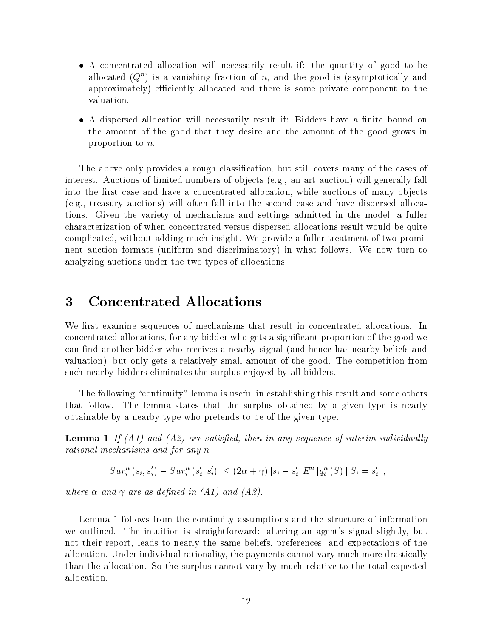- $\bullet$  A concentrated allocation will necessarily result if: the quantity of good to be ahocated ( $Q$  ) is a vanishing fraction of  $n$ , and the good is (asymptotically and approximately) efficiently allocated and there is some private component to the valuation.
- $\bullet$  A dispersed allocation will necessarily result if: Bidders have a finite bound on the amount of the good that they desire and the amount of the good grows in proportion to n.

The above only provides a rough classification, but still covers many of the cases of interest. Auctions of limited numbers of objects (e.g., an art auction) will generally fall into the first case and have a concentrated allocation, while auctions of many objects (e.g., treasury auctions) will often fall into the second case and have dispersed allocations. Given the variety of mechanisms and settings admitted in the model, a fuller characterization of when concentrated versus dispersed allocations result would be quite complicated, without adding much insight. We provide a fuller treatment of two prominent auction formats (uniform and discriminatory) in what follows. We now turn to analyzing auctions under the two types of allocations.

#### 3 Concentrated Allocations 3

We first examine sequences of mechanisms that result in concentrated allocations. In concentrated allocations, for any bidder who gets a signicant proportion of the good we can find another bidder who receives a nearby signal (and hence has nearby beliefs and valuation), but only gets a relatively small amount of the good. The competition from such nearby bidders eliminates the surplus enjoyed by all bidders.

The following "continuity" lemma is useful in establishing this result and some others that follow. The lemma states that the surplus obtained by a given type is nearly obtainable by a nearby type who pretends to be of the given type.

**Lemma 1** If  $(A1)$  and  $(A2)$  are satisfied, then in any sequence of interim individually rational mechanisms and for any n

 $|Sur_i^n(s_i, s'_i) - Sur_i^n(s'_i, s'_i)| \leq (2\alpha + \gamma) |s_i - s'_i| E^n [q_i^n(S) | S_i = s'_i],$ 

where  $\alpha$  and  $\gamma$  are as defined in (A1) and (A2).

Lemma 1 follows from the continuity assumptions and the structure of information we outlined. The intuition is straightforward: altering an agent's signal slightly, but not their report, leads to nearly the same beliefs, preferences, and expectations of the allocation. Under individual rationality, the payments cannot vary much more drastically than the allocation. So the surplus cannot vary by much relative to the total expected allocation.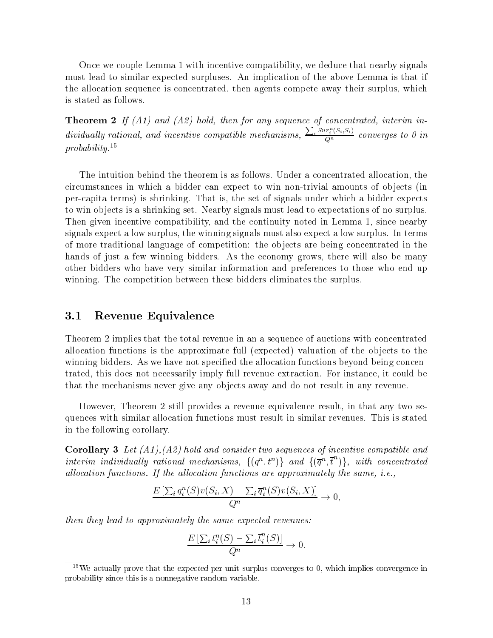Once we couple Lemma 1 with incentive compatibility, we deduce that nearby signals must lead to similar expected surpluses. An implication of the above Lemma is that if the allocation sequence is concentrated, then agents compete away their surplus, which is stated as follows.

**Theorem 2** If  $(A1)$  and  $(A2)$  hold, then for any sequence of concentrated, interim individually rational, and incentive compatible mechanisms,  $\frac{\sum_i Sur_i^n(S_i,S_i)}{Q^n}$  converges to 0 in probability.15

The intuition behind the theorem is as follows. Under a concentrated allocation, the circumstances in which a bidder can expect to win non-trivial amounts of ob jects (in per-capita terms) is shrinking. That is, the set of signals under which a bidder expects to win ob jects is a shrinking set. Nearby signals must lead to expectations of no surplus. Then given incentive compatibility, and the continuity noted in Lemma 1, since nearby signals expect a low surplus, the winning signals must also expect a low surplus. In terms of more traditional language of competition: the ob jects are being concentrated in the hands of just a few winning bidders. As the economy grows, there will also be many other bidders who have very similar information and preferences to those who end up winning. The competition between these bidders eliminates the surplus.

### 3.1 Revenue Equivalence

Theorem 2 implies that the total revenue in an a sequence of auctions with concentrated allocation functions is the approximate full (expected) valuation of the objects to the winning bidders. As we have not specified the allocation functions beyond being concentrated, this does not necessarily imply full revenue extraction. For instance, it could be that the mechanisms never give any objects away and do not result in any revenue.

However, Theorem 2 still provides a revenue equivalence result, in that any two sequences with similar allocation functions must result in similar revenues. This is stated in the following corollary.

**Corollary 3** Let  $(A1), (A2)$  hold and consider two sequences of incentive compatible and interim individually rational mechanisms,  $\{(q^n,t^n)\}\$ and  $\{(\overline{q}^n,\overline{t}^n)\}\$ , with concentrated allocation functions. If the allocation functions are approximately the same, i.e.,

$$
\frac{E\left[\sum_i q_i^n(S)v(S_i, X) - \sum_i \overline{q}_i^n(S)v(S_i, X)\right]}{Q^n} \to 0,
$$

then they lead to approximately the same expected revenues:

$$
\frac{E\left[\sum_i t_i^n(S) - \sum_i \overline{t}_i^n(S)\right]}{Q^n} \to 0.
$$

 $15$ We actually prove that the expected per unit surplus converges to 0, which implies convergence in probability since this is a nonnegative random variable.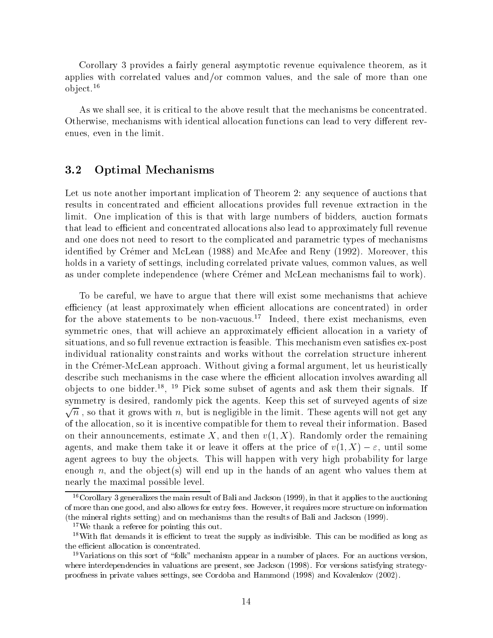Corollary 3 provides a fairly general asymptotic revenue equivalence theorem, as it applies with correlated values and/or common values, and the sale of more than one ob ject.<sup>16</sup>

As we shall see, it is critical to the above result that the mechanisms be concentrated. Otherwise, mechanisms with identical allocation functions can lead to very different revenues, even in the limit.

#### 3.2 Optimal Mechanisms

Let us note another important implication of Theorem 2: any sequence of auctions that results in concentrated and efficient allocations provides full revenue extraction in the limit. One implication of this is that with large numbers of bidders, auction formats that lead to efficient and concentrated allocations also lead to approximately full revenue and one does not need to resort to the complicated and parametric types of mechanisms identified by Crémer and McLean (1988) and McAfee and Reny (1992). Moreover, this holds in a variety of settings, including correlated private values, common values, as well as under complete independence (where Cremer and McLean mechanisms fail to work).

To be careful, we have to argue that there will exist some mechanisms that achieve efficiency (at least approximately when efficient allocations are concentrated) in order for the above statements to be non-vacuous.<sup>17</sup> Indeed, there exist mechanisms, even symmetric ones, that will achieve an approximately efficient allocation in a variety of situations, and so full revenue extraction is feasible. This mechanism even satisfies ex-post individual rationality constraints and works without the correlation structure inherent in the Cremer-McLean approach. Without giving a formal argument, let us heuristically describe such mechanisms in the case where the efficient allocation involves awarding all ob jects to one bidder.18 , <sup>19</sup> Pick some subset of agents and ask them their signals. If symmetry is desired, randomly pick the agents. Keep this set of surveyed agents of size  $\sqrt{n}$  , so that it grows with  $n,$  but is negligible in the limit. These agents will not get any of the allocation, so it is incentive compatible for them to reveal their information. Based on their announcements, estimate X, and then  $v(1, X)$ . Randomly order the remaining agents, and make them take it or leave it offers at the price of  $v(1, X) - \varepsilon$ , until some agent agrees to buy the objects. This will happen with very high probability for large enough n, and the object(s) will end up in the hands of an agent who values them at nearly the maximal possible level.

 $16C$ orollary 3 generalizes the main result of Bali and Jackson (1999), in that it applies to the auctioning of more than one good, and also allows for entry fees. However, it requires more structure on information (the mineral rights setting) and on mechanisms than the results of Bali and Jackson (1999).

<sup>&</sup>lt;sup>17</sup>We thank a referee for pointing this out.

 $18$ With flat demands it is efficient to treat the supply as indivisible. This can be modified as long as the efficient allocation is concentrated.

<sup>&</sup>lt;sup>19</sup>Variations on this sort of "folk" mechanism appear in a number of places. For an auctions version, where interdependencies in valuations are present, see Jackson (1998). For versions satisfying strategyproofness in private values settings, see Cordoba and Hammond (1998) and Kovalenkov (2002).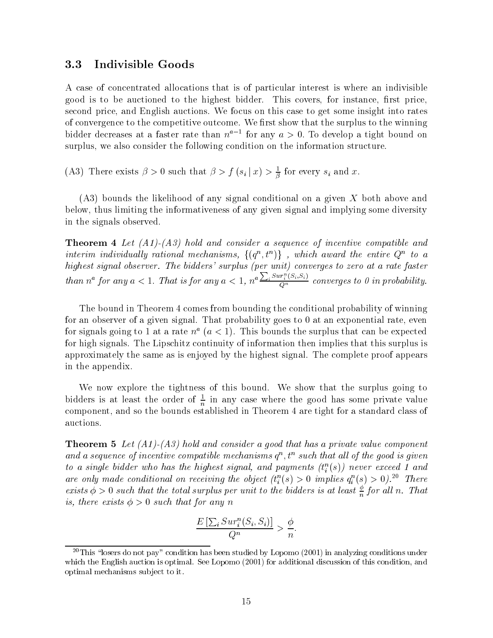#### 3.3 Indivisible Goods

A case of concentrated allocations that is of particular interest is where an indivisible good is to be auctioned to the highest bidder. This covers, for instance, first price, second price, and English auctions. We focus on this case to get some insight into rates of convergence to the competitive outcome. We first show that the surplus to the winning bidder decreases at a faster rate than  $n = 1$  for any  $a > 0$ . To develop a tight bound on surplus, we also consider the following condition on the information structure.

(A3) There exists  $\beta > 0$  such that  $\beta > f(s_i | x) > \frac{1}{\beta}$  for every  $s_i$  and x.

(A3) bounds the likelihood of any signal conditional on a given X both above and below, thus limiting the informativeness of any given signal and implying some diversity in the signals observed.

**Theorem 4** Let  $(A1)$ - $(A3)$  hold and consider a sequence of incentive compatible and interim individually rational mechanisms,  $\{(q^n,t^n)\}\,$ , which award the entire  $Q^n$  to a highest signal observer. The bidders' surplus (per unit) converges to zero at a rate faster than  $n^a$  for any  $a < 1$ . That is for any  $a < 1$ ,  $n^a \frac{\sum_i Sur_i^n(S_i,S_i)}{O^n}$  converges to 0 in probability.

The bound in Theorem 4 comes from bounding the conditional probability of winning for an observer of a given signal. That probability goes to 0 at an exponential rate, even for signals going to 1 at a rate  $n^a$   $(a < 1)$ . This bounds the surplus that can be expected for high signals. The Lipschitz continuity of information then implies that this surplus is approximately the same as is enjoyed by the highest signal. The complete proof appears in the appendix.

We now explore the tightness of this bound. We show that the surplus going to bidders is at least the order of  $\frac{1}{n}$  in any case where the good has some private value component, and so the bounds established in Theorem 4 are tight for a standard class of auctions.

**Theorem 5** Let  $(A1)$ - $(A3)$  hold and consider a good that has a private value component and a sequence of incentive compatible mechanisms  $q^{\alpha}, v^{\alpha}$  such that all of the good is qiven to a single biader who has the highest signal, and payments  $(\iota_i^-(s))$  hever exceed 1 and are only made conditional on receiving the object  $(t_i^*(s) \geq 0$  implies  $q_i^*(s) \geq 0$ ).<sup>21</sup> There exists  $\varphi > 0$  such that the total surplus per unit to the bidders is at least  $\frac{1}{n}$  for all n. That is, there exists  $\phi > 0$  such that for any n

$$
\frac{E\left[\sum_{i}Sur_i^n(S_i, S_i)\right]}{Q^n} > \frac{\phi}{n}.
$$

<sup>&</sup>lt;sup>20</sup>This "losers do not pay" condition has been studied by Lopomo (2001) in analyzing conditions under which the English auction is optimal. See Lopomo (2001) for additional discussion of this condition, and optimal mechanisms sub ject to it.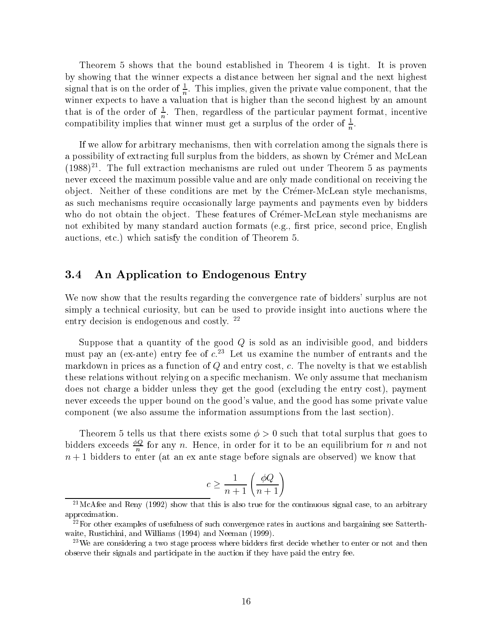Theorem 5 shows that the bound established in Theorem 4 is tight. It is proven by showing that the winner expects a distance between her signal and the next highest signal that is on the order of  $\frac{1}{n}$ . This implies, given the private value component, that the winner the problem as that is that is that is denoted the second that is that is higher than the second highest that is of the order of  $\frac{2}{n}$ . Then, regardless of the particular payment format, incentive compatibility implies that winner must get a surplus of the order of  $\frac{1}{n}$ .

If we allow for arbitrary mechanisms, then with correlation among the signals there is a possibility of extracting full surplus from the bidders, as shown by Cremer and McLean (1988)21 . The full extraction mechanisms are ruled out under Theorem 5 as payments never exceed the maximum possible value and are only made conditional on receiving the ob ject. Neither of these conditions are met by the Cremer-McLean style mechanisms, as such mechanisms require occasionally large payments and payments even by bidders who do not obtain the object. These features of Crémer-McLean style mechanisms are not exhibited by many standard auction formats  $(e.g.,$  first price, second price, English auctions, etc.) which satisfy the condition of Theorem 5.

### 3.4 An Application to Endogenous Entry

We now show that the results regarding the convergence rate of bidders' surplus are not simply a technical curiosity, but can be used to provide insight into auctions where the entry decision is endogenous and costly.<sup>22</sup>

Suppose that a quantity of the good  $Q$  is sold as an indivisible good, and bidders must pay an (ex-ante) entry fee of  $c^{23}$  Let us examine the number of entrants and the markdown in prices as a function of  $Q$  and entry cost,  $c$ . The novelty is that we establish these relations without relying on a specific mechanism. We only assume that mechanism does not charge a bidder unless they get the good (excluding the entry cost), payment never exceeds the upper bound on the good's value, and the good has some private value component (we also assume the information assumptions from the last section).

Theorem 5 tells us that there exists some  $\phi > 0$  such that total surplus that goes to bidders exceeds  $\rightleftharpoons$  for any n. Hence, in order for it to be an equilibrium for n and not n to enter the 1 bidders to enter (at an except before signals are observed) we know that  $\alpha$ 

$$
c \ge \frac{1}{n+1} \left( \frac{\phi Q}{n+1} \right)
$$

 $^{21}$ McAfee and Reny (1992) show that this is also true for the continuous signal case, to an arbitrary approximation.

 $^{22}$ For other examples of usefulness of such convergence rates in auctions and bargaining see Satterthwaite, Rustichini, and Williams (1994) and Neeman (1999).

 $23$ We are considering a two stage process where bidders first decide whether to enter or not and then observe their signals and participate in the auction if they have paid the entry fee.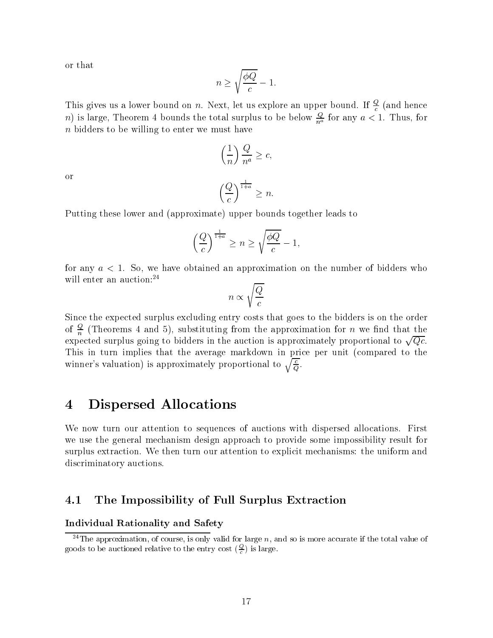or that

$$
n \ge \sqrt{\frac{\phi Q}{c}} - 1.
$$

This gives us a lower bound on n. Next, let us explore an upper bound. If  $\frac{4}{c}$  (and hence  $n$ ) is large, Theorem 4 bounds the total surplus to be below  $\frac{u}{n^a}$  for any  $a < 1$ . Thus, for n bidders to be willing to enter we must have

$$
\left(\frac{1}{n}\right)\frac{Q}{n^a} \ge c,
$$

or

$$
\left(\frac{Q}{c}\right)^{\frac{1}{1+a}} \geq n.
$$

Putting these lower and (approximate) upper bounds together leads to

$$
\left(\frac{Q}{c}\right)^{\frac{1}{1+a}}\geq n\geq \sqrt{\frac{\phi Q}{c}}-1,
$$

for any  $a < 1$ . So, we have obtained an approximation on the number of bidders who will enter an auction:<sup>24</sup>

$$
n \propto \sqrt{\frac{Q}{c}}
$$

Since the expected surplus excluding entry costs that goes to the bidders is on the order of  $\div$  (Theorems 4 and 5), substituting from the approximation for n we find that the expected surplus going to bidders in the auction is approximately proportional to  $\sqrt{Qc}$ . This in turn implies that the average markdown in price per unit (compared to the winner's valuation) is approximately proportional to  $\sqrt{\frac{c}{Q}}$ .

## 4 Dispersed Allocations

We now turn our attention to sequences of auctions with dispersed allocations. First we use the general mechanism design approach to provide some impossibility result for surplus extraction. We then turn our attention to explicit mechanisms: the uniform and discriminatory auctions.

### 4.1 The Impossibility of Full Surplus Extraction

#### Individual Rationality and Safety

 $^{24}$ The approximation, of course, is only valid for large n, and so is more accurate if the total value of goods to be auctioned relative to the entry cost  $(\frac{\ast}{c})$  is large.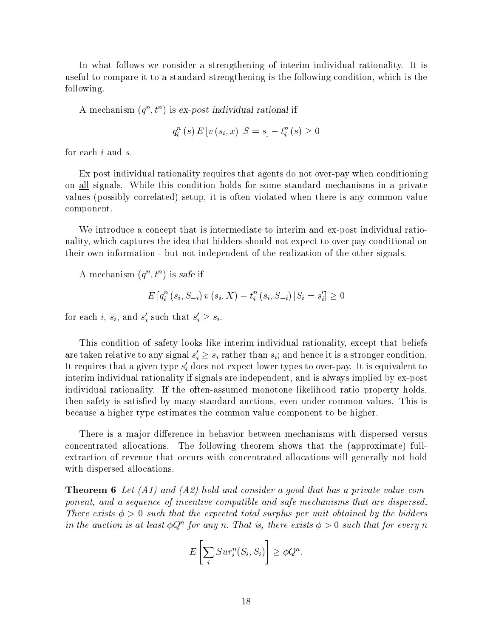In what follows we consider a strengthening of interim individual rationality. It is useful to compare it to a standard strengthening is the following condition, which is the following.

A mechanism  $(q^+, t^-)$  is ex-post individual rational if

 $q_i^n(s) E[v(s_i, x) | S = s] - t_i^n(s) \ge 0$ 

for each i and s.

Ex post individual rationality requires that agents do not over-pay when conditioning on all signals. While this condition holds for some standard mechanisms in a private values (possibly correlated) setup, it is often violated when there is any common value component.

We introduce a concept that is intermediate to interim and ex-post individual rationality, which captures the idea that bidders should not expect to over pay conditional on their own information - but not independent of the realization of the other signals.

A mechanism  $(q^-, t^-)$  is safe if

$$
E\left[q_i^n\left(s_i, S_{-i}\right)v\left(s_i, X\right) - t_i^n\left(s_i, S_{-i}\right)|S_i = s_i'\right] \ge 0
$$

for each i,  $s_i$ , and  $s_i$  such that  $s_i' \geq s_i$ .

This condition of safety looks like interim individual rationality, except that beliefs are taken relative to any signal  $s_i' \geq s_i$  rather than  $s_i$ ; and hence it is a stronger condition. It requires that a given type  $s_i$  does not expect lower types to over-pay. It is equivalent to interim individual rationality if signals are independent, and is always implied by ex-post individual rationality. If the often-assumed monotone likelihood ratio property holds, then safety is satisfied by many standard auctions, even under common values. This is because a higher type estimates the common value component to be higher.

There is a major difference in behavior between mechanisms with dispersed versus concentrated allocations. The following theorem shows that the (approximate) fullextraction of revenue that occurs with concentrated allocations will generally not hold with dispersed allocations.

**Theorem 6** Let  $(A1)$  and  $(A2)$  hold and consider a good that has a private value component, and a sequence of incentive compatible and safe mechanisms that are dispersed. There exists  $\phi > 0$  such that the expected total surplus per unit obtained by the bidders in the auction is at least  $\mathcal{O}Q^+$  for any n. That is, there exists  $\mathcal{O} > 0$  such that for every n

$$
E\left[\sum_{i} Sur_{i}^{n}(S_{i}, S_{i})\right] \geq \phi Q^{n}.
$$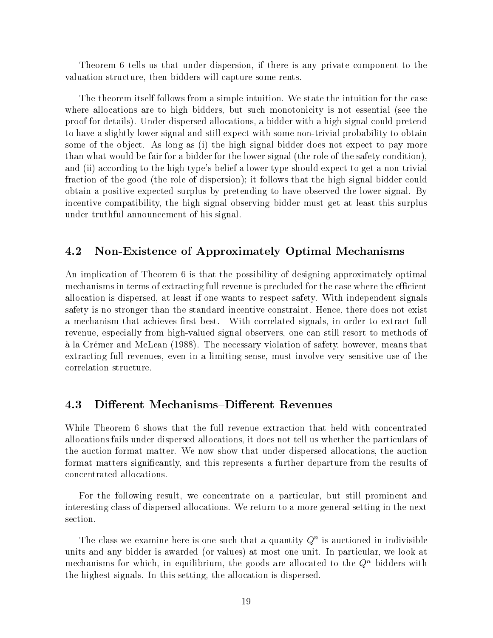Theorem 6 tells us that under dispersion, if there is any private component to the valuation structure, then bidders will capture some rents.

The theorem itself follows from a simple intuition. We state the intuition for the case where allocations are to high bidders, but such monotonicity is not essential (see the proof for details). Under dispersed allocations, a bidder with a high signal could pretend to have a slightly lower signal and still expect with some non-trivial probability to obtain some of the object. As long as (i) the high signal bidder does not expect to pay more than what would be fair for a bidder for the lower signal (the role of the safety condition), and (ii) according to the high type's belief a lower type should expect to get a non-trivial fraction of the good (the role of dispersion); it follows that the high signal bidder could obtain a positive expected surplus by pretending to have observed the lower signal. By incentive compatibility, the high-signal observing bidder must get at least this surplus under truthful announcement of his signal.

### 4.2 Non-Existence of Approximately Optimal Mechanisms

An implication of Theorem 6 is that the possibility of designing approximately optimal mechanisms in terms of extracting full revenue is precluded for the case where the efficient allocation is dispersed, at least if one wants to respect safety. With independent signals safety is no stronger than the standard incentive constraint. Hence, there does not exist a mechanism that achieves first best. With correlated signals, in order to extract full revenue, especially from high-valued signal observers, one can still resort to methods of a la Cremer and McLean (1988). The necessary violation of safety, however, means that extracting full revenues, even in a limiting sense, must involve very sensitive use of the correlation structure.

### 4.3 Different Mechanisms–Different Revenues

While Theorem 6 shows that the full revenue extraction that held with concentrated allocations fails under dispersed allocations, it does not tell us whether the particulars of the auction format matter. We now show that under dispersed allocations, the auction format matters signicantly, and this represents a further departure from the results of concentrated allocations.

For the following result, we concentrate on a particular, but still prominent and interesting class of dispersed allocations. We return to a more general setting in the next section.

The class we examine here is one such that a quantity  $Q^{\pi}$  is auctioned in indivisible units and any bidder is awarded (or values) at most one unit. In particular, we look at mechanisms for which, in equilibrium, the goods are allocated to the  $Q<sup>n</sup>$  bidders with the highest signals. In this setting, the allocation is dispersed.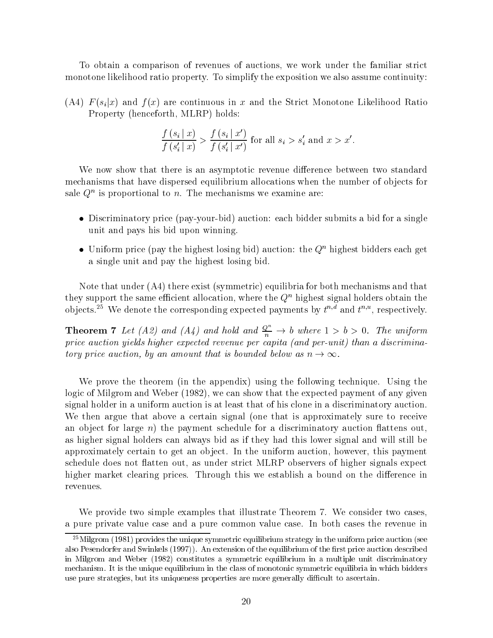To obtain a comparison of revenues of auctions, we work under the familiar strict monotone likelihood ratio property. To simplify the exposition we also assume continuity:

(A4)  $F(s_i|x)$  and  $f(x)$  are continuous in x and the Strict Monotone Likelihood Ratio Property (henceforth, MLRP) holds:

$$
\frac{f(s_i | x)}{f(s'_i | x)} > \frac{f(s_i | x')}{f(s'_i | x')} \text{ for all } s_i > s'_i \text{ and } x > x'.
$$

We now show that there is an asymptotic revenue difference between two standard mechanisms that have dispersed equilibrium allocations when the number of objects for sale  $\varphi$  is proportional to  $n$ . The mechanisms we examine are:

- $\bullet$  Discriminatory price (pay-your-bid) auction: each bidder submits a bid for a single  $\bullet$ unit and pays his bid upon winning.
- $\bullet$  Uniform price (pay the highest losing bid) auction: the  $Q^{\alpha}$  highest bidders each get a single unit and pay the highest losing bid.

Note that under (A4) there exist (symmetric) equilibria for both mechanisms and that they support the same efficient allocation, where the  $Q<sup>n</sup>$  highest signal holders obtain the objects.<sup>25</sup> We denote the corresponding expected payments by  $t^{n,d}$  and  $t^{n,u}$ , respectively.

**Theorem 7** Let (A2) and (A4) and hold and  $\frac{Q^n}{n} \to b$  where  $1 > b > 0$ . The uniform price auction yields higher expected revenue per capita (and per-unit) than a discriminatory price auction, by an amount that is bounded below as  $n \to \infty$ .

We prove the theorem (in the appendix) using the following technique. Using the logic of Milgrom and Weber (1982), we can show that the expected payment of any given signal holder in a uniform auction is at least that of his clone in a discriminatory auction. We then argue that above a certain signal (one that is approximately sure to receive an object for large  $n$ ) the payment schedule for a discriminatory auction flattens out, as higher signal holders can always bid asif they had this lower signal and willstill be approximately certain to get an object. In the uniform auction, however, this payment schedule does not flatten out, as under strict MLRP observers of higher signals expect higher market clearing prices. Through this we establish a bound on the difference in revenues.

We provide two simple examples that illustrate Theorem 7. We consider two cases, a pure private value case and a pure common value case. In both cases the revenue in

 $^{25}$ Milgrom (1981) provides the unique symmetric equilibrium strategy in the uniform price auction (see also Pesendorfer and Swinkels (1997)). An extension of the equilibrium of the first price auction described in Milgrom and Weber (1982) constitutes a symmetric equilibrium in a multiple unit discriminatory mechanism. It is the unique equilibrium in the class of monotonic symmetric equilibria in which bidders use pure strategies, but its uniqueness properties are more generally difficult to ascertain.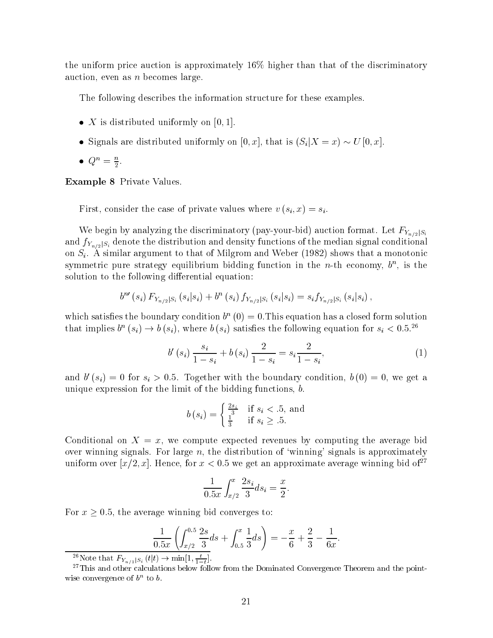the uniform price auction is approximately 16% higher than that of the discriminatory auction, even as  $n$  becomes large.

The following describes the information structure for these examples.

- $\bullet$   $\Lambda$  is distributed uniformly on [0, 1].
- Signals are distributed uniformly on  $[0, x]$ , that is  $(S_i|X=x) \sim U[0, x]$ .
- $\bullet$   $\omega$   $=$   $\frac{\omega}{2}$ .

Example 8 Private Values.

First, consider the case of private values where  $v(s_i, x) = s_i$ .

We begin by analyzing the discriminatory (pay-your-bid) auction format. Let  $F_{Y_{n/2}|S_i}$ and  $f_{Y_{n/2}|S_i}$  denote the distribution and density functions of the median signal conditional on  $S_i$ . A similar argument to that of Milgrom and Weber (1982) shows that a monotonic symmetric pure strategy equilibrium bidding function in the  $n$ -th economy,  $\sigma$  , is the solution to the following differential equation:

$$
b^{n'}(s_i) F_{Y_{n/2}|S_i}(s_i|s_i) + b^{n'}(s_i) f_{Y_{n/2}|S_i}(s_i|s_i) = s_i f_{Y_{n/2}|S_i}(s_i|s_i),
$$

which satisfies the boundary condition  $\delta^+(0) = 0.1$  his equation has a closed form solution that implies  $b''(s_i) \to b(s_i)$ , where  $b(s_i)$  satisfies the following equation for  $s_i < 0.5$ .

$$
b'(s_i) \frac{s_i}{1 - s_i} + b(s_i) \frac{2}{1 - s_i} = s_i \frac{2}{1 - s_i},
$$
\n(1)

and  $v_0$  ( $s_i$ )  $\equiv$  0 for  $s_i > 0.5$ . Together with the boundary condition,  $v_0$ ( $v$ )  $\equiv$  0, we get a unique expression for the limit of the bidding functions, b.

$$
b(s_i) = \begin{cases} \frac{2s_i}{3} & \text{if } s_i < .5, \text{ and} \\ \frac{1}{3} & \text{if } s_i \ge .5. \end{cases}
$$

Conditional on  $X = x$ , we compute expected revenues by computing the average bid over winning signals. For large  $n$ , the distribution of 'winning' signals is approximately uniform over  $[x/2, x]$ . Hence, for  $x < 0.5$  we get an approximate average winning bid of<sup>27</sup>

$$
\frac{1}{0.5x} \int_{x/2}^{x} \frac{2s_i}{3} ds_i = \frac{x}{2}.
$$

For  $x \geq 0.5$ , the average winning bid converges to:

$$
\frac{1}{0.5x} \left( \int_{x/2}^{0.5} \frac{2s}{3} ds + \int_{0.5}^{x} \frac{1}{3} ds \right) = -\frac{x}{6} + \frac{2}{3} - \frac{1}{6x}.
$$

<sup>26</sup>Note that  $F_{Y_{n/2}|S_i} (t|t) \to \min[1, \frac{t}{1-t}].$ 

<sup>&</sup>lt;sup>27</sup>This and other calculations below follow from the Dominated Convergence Theorem and the pointwise convergence of  $\theta$ . To  $\theta$ .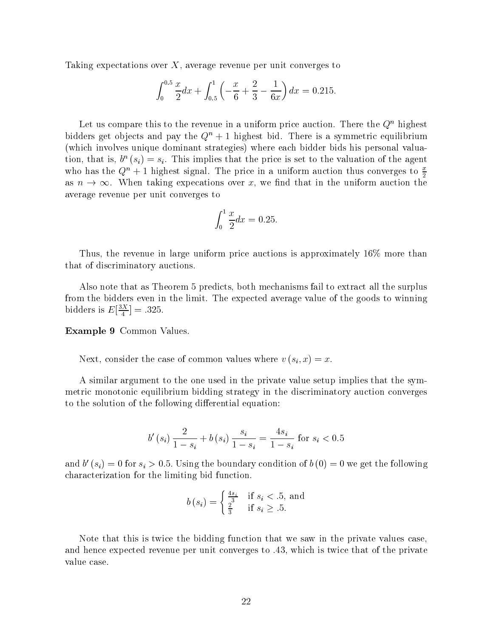Taking expectations over  $X$ , average revenue per unit converges to

$$
\int_0^{0.5} \frac{x}{2} dx + \int_{0.5}^1 \left( -\frac{x}{6} + \frac{2}{3} - \frac{1}{6x} \right) dx = 0.215.
$$

Let us compare this to the revenue in a uniform price auction. There the  $Q<sup>n</sup>$  highest bidders get objects and pay the  $Q^n + 1$  highest bid. There is a symmetric equilibrium (which involves unique dominant strategies) where each bidder bids his personal valuation, that is,  $v_-(s_i) = s_i$ . This implies that the price is set to the valuation of the agent who has the  $Q^n + 1$  highest signal. The price in a uniform auction thus converges to  $\frac{x}{2}$ as  $n \to \infty$ . When taking expecations over x, we find that in the uniform auction the average revenue per unit converges to

$$
\int_0^1 \frac{x}{2} dx = 0.25.
$$

Thus, the revenue in large uniform price auctions is approximately 16% more than that of discriminatory auctions.

Also note that as Theorem 5 predicts, both mechanisms fail to extract all the surplus from the bidders even in the limit. The expected average value of the goods to winning bidders is  $E\left[\frac{1}{4}\right] = .325$ .

Example 9 Common Values.

Next, consider the case of common values where  $v(s_i, x) = x$ .

A similar argument to the one used in the private value setup implies that the symmetric monotonic equilibrium bidding strategy in the discriminatory auction converges to the solution of the following differential equation:

$$
b'(s_i) \frac{2}{1 - s_i} + b(s_i) \frac{s_i}{1 - s_i} = \frac{4s_i}{1 - s_i} \text{ for } s_i < 0.5
$$

and  $v_0$  ( $s_i$ )  $=$  0 for  $s_i >$  0.5. Using the boundary condition of  $v_0$  ( $v_1 = 0$  we get the following characterization for the limiting bid function.

$$
b(s_i) = \begin{cases} \frac{4s_i}{3} & \text{if } s_i < .5, \text{ and} \\ \frac{2}{3} & \text{if } s_i \ge .5. \end{cases}
$$

Note that this is twice the bidding function that we saw in the private values case, and hence expected revenue per unit converges to .43, which is twice that of the private value case.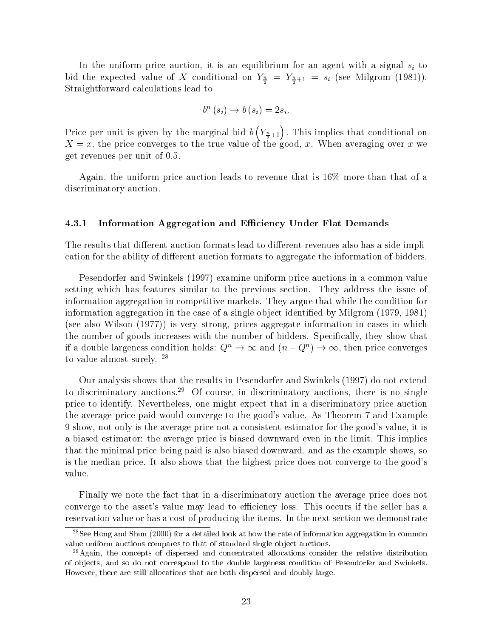In the uniform price auction, it is an equilibrium for an agent with a signal  $s_i$  to  $\frac{1}{2}$  the expected value of X conditional on  $Y_{\frac{2}{2}} = Y_{\frac{2}{2}+1} = s_i$  (see Milgrom (1981)). Straightforward calculations lead to

$$
b^{n}(s_{i}) \rightarrow b(s_{i}) = 2s_{i}.
$$

Price per unit is given by the marginal bid  $b(Y_{\frac{n}{2}+1})$  . This implies that conditional on X = x, the price converges to the true value of the good, x. When averaging over x we get revenues per unit of 0.5.

Again, the uniform price auction leads to revenue that is 16% more than that of a discriminatory auction.

#### 4.3.1 Information Aggregation and Efficiency Under Flat Demands

The results that different auction formats lead to different revenues also has a side implication for the ability of different auction formats to aggregate the information of bidders.

Pesendorfer and Swinkels (1997) examine uniform price auctions in a common value setting which has features similar to the previous section. They address the issue of information aggregation in competitive markets. They argue that while the condition for information aggregation in the case of a single object identified by Milgrom (1979, 1981) (see also Wilson (1977)) is very strong, prices aggregate information in cases in which the number of goods increases with the number of bidders. Specically, they show that if a double largeness condition holds:  $Q^n \to \infty$  and  $(n - Q^n) \to \infty$ , then price converges to value almost surely. <sup>28</sup>

Our analysis shows that the results in Pesendorfer and Swinkels (1997) do not extend to discriminatory auctions.<sup>29</sup> Of course, in discriminatory auctions, there is no single price to identify. Nevertheless, one might expect that in a discriminatory price auction the average price paid would converge to the good's value. As Theorem 7 and Example 9 show, not only is the average price not a consistent estimator for the good's value, it is a biased estimator: the average price is biased downward even in the limit. This implies that the minimal price being paid is also biased downward, and as the example shows, so is the median price. It also shows that the highest price does not converge to the good's value.

Finally we note the fact that in a discriminatory auction the average price does not converge to the asset's value may lead to efficiency loss. This occurs if the seller has a reservation value or has a cost of producing the items. In the next section we demonstrate

<sup>&</sup>lt;sup>28</sup>See Hong and Shun (2000) for a detailed look at how the rate of information aggregation in common value uniform auctions compares to that of standard single object auctions.

 $29$ Again, the concepts of dispersed and concentrated allocations consider the relative distribution of ob jects, and so do not correspond to the double largeness condition of Pesendorfer and Swinkels. However, there are still allocations that are both dispersed and doubly large.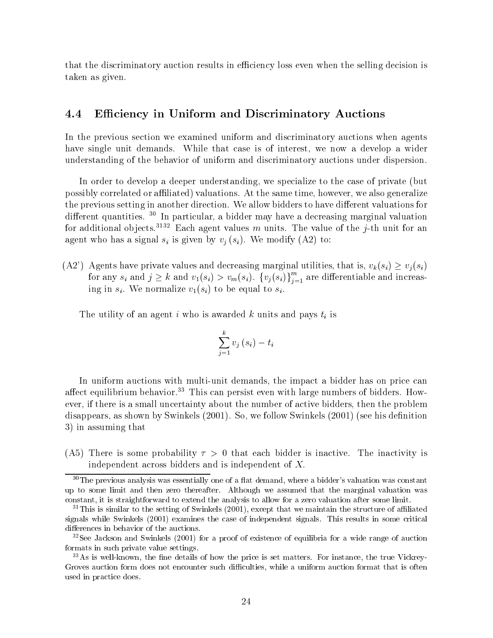that the discriminatory auction results in efficiency loss even when the selling decision is taken as given.

### 4.4 Efficiency in Uniform and Discriminatory Auctions

In the previous section we examined uniform and discriminatory auctions when agents have single unit demands. While that case is of interest, we now a develop a wider understanding of the behavior of uniform and discriminatory auctions under dispersion.

In order to develop a deeper understanding, we specialize to the case of private (but possibly correlated or affiliated) valuations. At the same time, however, we also generalize the previous setting in another direction. We allow bidders to have different valuations for different quantities. <sup>30</sup> In particular, a bidder may have a decreasing marginal valuation for additional objects.<sup>3132</sup> Each agent values m units. The value of the j-th unit for an agent who has a signal  $s_i$  is given by  $v_i(s_i)$ . We modify (A2) to:

(A2') Agents have private values and decreasing marginal utilities, that is,  $v_k(s_i) \ge v_i(s_i)$ for any  $s_i$  and  $j \geq k$  and  $v_1(s_i) > v_m(s_i)$ .  $\{v_j(s_i)\}_{i=1}^m$  are differentiable and increasing in si. We normalize v1(si) to be equal to si.

The utility of an agent i who is awarded k units and pays  $t_i$  is

$$
\sum_{j=1}^{k}v_{j}\left( s_{i}\right) -t_{i}
$$

In uniform auctions with multi-unit demands, the impact a bidder has on price can affect equilibrium behavior.<sup>33</sup> This can persist even with large numbers of bidders. However, if there is a small uncertainty about the number of active bidders, then the problem disappears, as shown by Swinkels  $(2001)$ . So, we follow Swinkels  $(2001)$  (see his definition 3) in assuming that

(A5) There is some probability  $\tau > 0$  that each bidder is inactive. The inactivity is independent across bidders and is independent of  $X$ .

 $30$ The previous analysis was essentially one of a flat demand, where a bidder's valuation was constant up to some limit and then zero thereafter. Although we assumed that the marginal valuation was constant, it is straightforward to extend the analysis to allow for a zero valuation after some limit.

 $31$ This is similar to the setting of Swinkels (2001), except that we maintain the structure of affiliated signals while Swinkels (2001) examines the case of independent signals. This results in some critical differences in behavior of the auctions.

<sup>&</sup>lt;sup>32</sup>See Jackson and Swinkels (2001) for a proof of existence of equilibria for a wide range of auction formats in such private value settings.

 $33\text{As}$  is well-known, the fine details of how the price is set matters. For instance, the true Vickrey-Groves auction form does not encounter such difficulties, while a uniform auction format that is often used in practice does.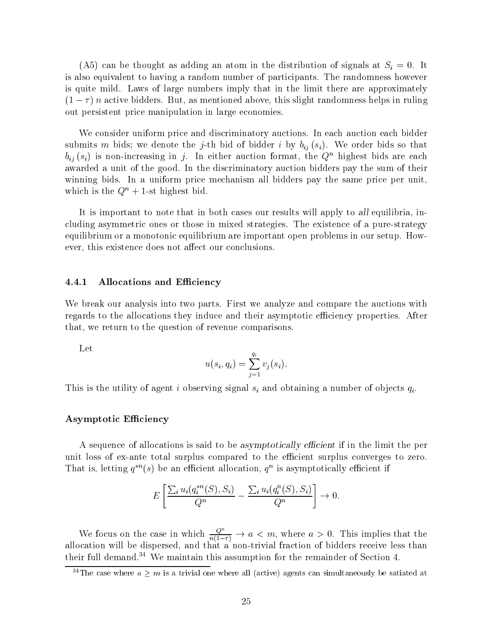(A5) can be thought as adding an atom in the distribution of signals at  $S_i = 0$ . It is also equivalent to having a random number of participants. The randomness however is quite mild. Laws of large numbers imply that in the limit there are approximately  $(1 - \tau)n$  active bidders. But, as mentioned above, this slight randomness helps in ruling out persistent price manipulation in large economies.

We consider uniform price and discriminatory auctions. In each auction each bidder submits m bids; we denote the j-th bid of bidder i by  $b_{ij}(s_i)$ . We order bids so that  $b_{ij}(s_i)$  is non-increasing in j. In either auction format, the  $Q^n$  highest bids are each awarded a unit of the good. In the discriminatory auction bidders pay the sum of their winning bids. In a uniform price mechanism all bidders pay the same price per unit, which is the  $Q^{n} + 1$ -st highest bid.

It is important to note that in both cases our results will apply to all equilibria, including asymmetric ones or those in mixed strategies. The existence of a pure-strategy equilibrium or a monotonic equilibrium are important open problems in our setup. However, this existence does not affect our conclusions.

#### 4.4.1 Allocations and Efficiency

We break our analysis into two parts. First we analyze and compare the auctions with regards to the allocations they induce and their asymptotic efficiency properties. After that, we return to the question of revenue comparisons.

Let

$$
u(s_i,q_i)=\sum_{j=1}^{q_i}v_j(s_i).
$$

This is the utility of agent i observing signal  $s_i$  and obtaining a number of objects  $q_i$ .

#### Asymptotic Efficiency

A sequence of allocations is said to be asymptotically efficient if in the limit the per unit loss of ex-ante total surplus compared to the efficient surplus converges to zero. That is, letting  $q - (s)$  be an emclent allocation,  $q -$  is asymptotically emclent if

$$
E\left[\frac{\sum_{i} u_i(q_i^{*n}(S), S_i)}{Q^n} - \frac{\sum_{i} u_i(q_i^n(S), S_i)}{Q^n}\right] \to 0.
$$

We focus on the case in which  $\frac{Q}{n(1 - \tau)} \to a < m$ , where  $a > 0$ . This implies that the allocation will be dispersed, and that a non-trivial fraction of bidders receivers  $\mathbf{f}$ their full demand.<sup>34</sup> We maintain this assumption for the remainder of Section 4.

<sup>&</sup>lt;sup>34</sup>The case where  $a \geq m$  is a trivial one where all (active) agents can simultaneously be satiated at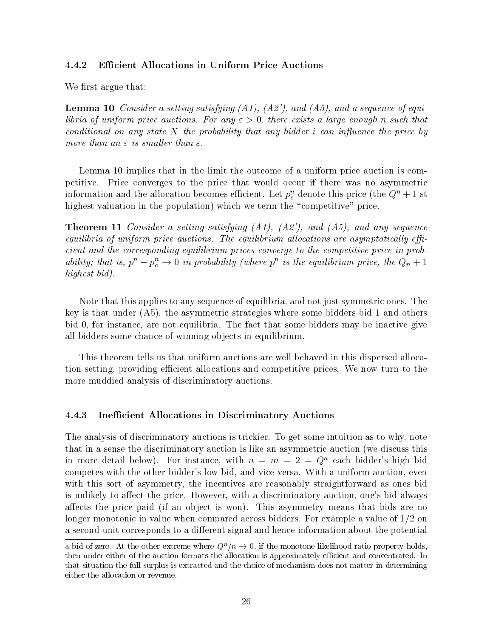#### 4.4.2 **Efficient Allocations in Uniform Price Auctions**

We first argue that:

**Lemma 10** Consider a setting satisfying  $(A1)$ ,  $(A2)$ , and  $(A5)$ , and a sequence of equilibria of uniform price auctions. For any  $\varepsilon > 0$ , there exists a large enough n such that conditional on any state X the probability that any bidder i can influence the price by more than an  $\varepsilon$  is smaller than  $\varepsilon$ .

Lemma 10 implies that in the limit the outcome of a uniform price auction is competitive. Price converges to the price that would occur if there was no asymmetric information and the allocation becomes emclent. Let  $p_c^c$  denote this price (the  $Q^c + 1$ -st highest valuation in the population) which we term the "competitive" price.

**Theorem 11** Consider a setting satisfying  $(A1)$ ,  $(A2)$ , and  $(A5)$ , and any sequence equilibria of uniform price auctions. The equilibrium allocations are asymptotically efficient and the corresponding equilibrium prices converge to the competitive price in probability; that is,  $p^n - p_c^n \to 0$  in probability (where  $p^n$  is the equilibrium price, the  $Q_n + 1$ highest bid).

Note that this applies to any sequence of equilibria, and not just symmetric ones. The key is that under (A5), the asymmetric strategies where some bidders bid 1 and others bid 0, for instance, are not equilibria. The fact that some bidders may be inactive give all bidders some chance of winning objects in equilibrium.

This theorem tells us that uniform auctions are well behaved in this dispersed allocation setting, providing efficient allocations and competitive prices. We now turn to the more muddied analysis of discriminatory auctions.

#### 4.4.3 Inefficient Allocations in Discriminatory Auctions

The analysis of discriminatory auctions is trickier. To get some intuition as to why, note that in a sense the discriminatory auction is like an asymmetric auction (we discuss this in more detail below). For instance, with  $n = m = 2 = Q^n$  each bidder's high bid competes with the other bidder's low bid, and vice versa. With a uniform auction, even with this sort of asymmetry, the incentives are reasonably straightforward as ones bid is unlikely to affect the price. However, with a discriminatory auction, one's bid always affects the price paid (if an object is won). This asymmetry means that bids are no longer monotonic in value when compared across bidders. For example a value of 1/2 on a second unit corresponds to a different signal and hence information about the potential

a bid of zero. At the other extreme where  $Q^n/n \to 0$ , if the monotone likelihood ratio property holds, then under either of the auction formats the allocation is approximately efficient and concentrated. In that situation the full surplus is extracted and the choice of mechanism does not matter in determining either the allocation or revenue.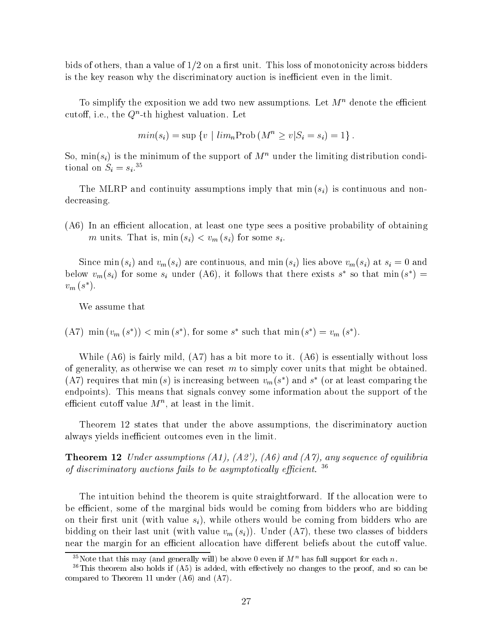bids of others, than a value of  $1/2$  on a first unit. This loss of monotonicity across bidders is the key reason why the discriminatory auction is inefficient even in the limit.

To simplify the exposition we add two new assumptions. Let  $M^n$  denote the efficient cuton, i.e., the  $Q$  -th highest valuation. Let

$$
min(s_i) = \sup \{ v \mid lim_n \text{Prob}(M^n \ge v | S_i = s_i) = 1 \}.
$$

So,  $\min(s_i)$  is the minimum of the support of  $M^n$  under the limiting distribution conditional on  $S_i = s_i$ .<sup>35</sup>

The MLRP and continuity assumptions imply that  $\min(s_i)$  is continuous and nondecreasing.

 $(A6)$  In an efficient allocation, at least one type sees a positive probability of obtaining m units. That is,  $\min(s_i) < v_m(s_i)$  for some  $s_i$ .

Since min  $(s_i)$  and  $v_m(s_i)$  are continuous, and min  $(s_i)$  lies above  $v_m(s_i)$  at  $s_i = 0$  and below  $v_m(s_i)$  for some  $s_i$  under (A0), it follows that there exists s so that min (s )  $=$  $v_m$  (s).

We assume that

 $(A)$  min  $(v_m(s)) \leq \min(s)$ , for some s such that min  $(s) = v_m(s)$ .

While (A6) is fairly mild, (A7) has a bit more to it. (A6) is essentially without loss of generality, as otherwise we can reset  $m$  to simply cover units that might be obtained. (A) requires that min (s) is increasing between  $v_m(s)$  and s (or at least comparing the endpoints). This means that signals convey some information about the support of the emclent cutoil value  $M_\odot$  , at least in the limit.

Theorem 12 states that under the above assumptions, the discriminatory auction always yields inefficient outcomes even in the limit.

**Theorem 12** Under assumptions  $(A1)$ ,  $(A2')$ ,  $(A6)$  and  $(A7)$ , any sequence of equilibria of discriminatory auctions fails to be asymptotically efficient.  $36$ 

The intuition behind the theorem is quite straightforward. If the allocation were to be efficient, some of the marginal bids would be coming from bidders who are bidding on their first unit (with value  $s_i$ ), while others would be coming from bidders who are bidding on their last unit (with value  $v_m(s_i)$ ). Under (A7), these two classes of bidders near the margin for an efficient allocation have different beliefs about the cutoff value.

<sup>&</sup>lt;sup>35</sup>Note that this may (and generally will) be above 0 even if  $M<sup>n</sup>$  has full support for each n.

 $36$ This theorem also holds if (A5) is added, with effectively no changes to the proof, and so can be compared to Theorem 11 under (A6) and (A7).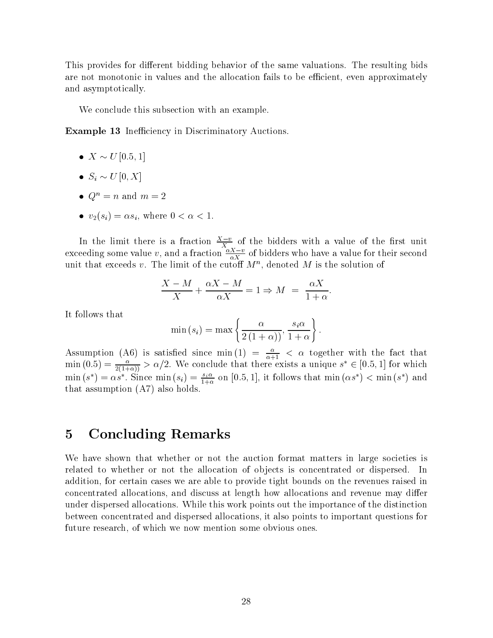This provides for different bidding behavior of the same valuations. The resulting bids are not monotonic in values and the allocation fails to be efficient, even approximately and asymptotically.

We conclude this subsection with an example.

**Example 13** Inefficiency in Discriminatory Auctions.

- $\bullet$   $\Lambda \sim U$  [0.5; 1]
- $\bullet$   $S_i \sim U[0, A]$
- $\bullet$   $Q^n = n$  and  $m = 2$
- $v_2(s_i) = \alpha s_i$ , where  $0 < \alpha < 1$ .

In the limit there is a fraction  $\frac{1}{X}$  of the bidders with a value of the first unit exceeding some value v, and a fraction  $\frac{X}{\alpha X}$  of bidders who have a value for their second unit that exceeds  $v$ . The limit of the cutoff  $M^+$ , denoted  $M$  is the solution of

$$
\frac{X-M}{X} + \frac{\alpha X - M}{\alpha X} = 1 \Rightarrow M = \frac{\alpha X}{1 + \alpha}.
$$

It follows that

$$
\min(s_i) = \max\left\{\frac{\alpha}{2(1+\alpha)}, \frac{s_i\alpha}{1+\alpha}\right\}.
$$

Assumption (A6) is satisfied since  $\min(1) = \frac{1}{\alpha+1} < \alpha$  together with the fact that  $\min{(0.5)} = \frac{\alpha}{2(1+\alpha)} > \alpha/2$ . We conclude that there exists a unique  $s^* \in [0.5, 1]$  for which  $\min(s^*) = \alpha s^*$ . Since  $\min(s_i) = \frac{1}{1+\alpha}$  on [0.5, 1], it follows that  $\min(\alpha s^*) < \min(s^*)$  and that assumption (A7) also holds.

#### $\overline{5}$ 5 Concluding Remarks

We have shown that whether or not the auction format matters in large societies is related to whether or not the allocation of objects is concentrated or dispersed. In addition, for certain cases we are able to provide tight bounds on the revenues raised in concentrated allocations, and discuss at length how allocations and revenue may differ under dispersed allocations. While this work points out the importance of the distinction between concentrated and dispersed allocations, it also points to important questions for future research, of which we now mention some obvious ones.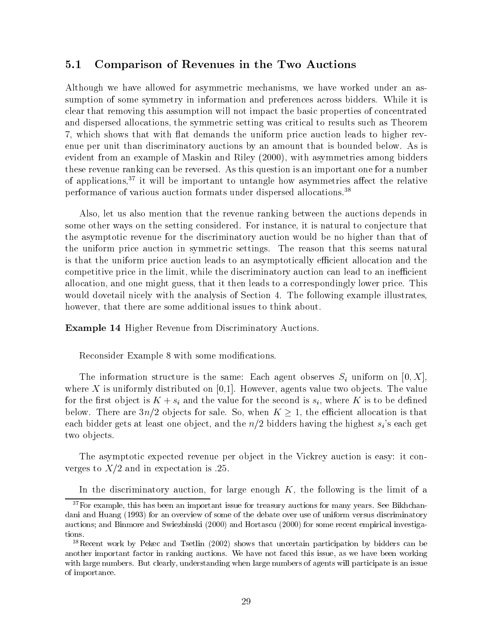### 5.1 Comparison of Revenues in the Two Auctions

Although we have allowed for asymmetric mechanisms, we have worked under an assumption of some symmetry in information and preferences across bidders. While it is clear that removing this assumption will not impact the basic properties of concentrated and dispersed allocations, the symmetric setting was critical to results such as Theorem 7, which shows that with at demands the uniform price auction leads to higher revenue per unit than discriminatory auctions by an amount that is bounded below. As is evident from an example of Maskin and Riley (2000), with asymmetries among bidders these revenue ranking can be reversed. As this question is an important one for a number of applications, $37$  it will be important to untangle how asymmetries affect the relative performance of various auction formats under dispersed allocations.<sup>38</sup>

Also, let us also mention that the revenue ranking between the auctions depends in some other ways on the setting considered. For instance, it is natural to conjecture that the asymptotic revenue for the discriminatory auction would be no higher than that of the uniform price auction in symmetric settings. The reason that this seems natural is that the uniform price auction leads to an asymptotically efficient allocation and the competitive price in the limit, while the discriminatory auction can lead to an inefficient allocation, and one might guess, that it then leads to a correspondingly lower price. This would dovetail nicely with the analysis of Section 4. The following example illustrates, however, that there are some additional issues to think about.

Example 14 Higher Revenue from Discriminatory Auctions.

Reconsider Example 8 with some modifications.

The information structure is the same: Each agent observes  $S_i$  uniform on [0, X], where X is uniformly distributed on  $[0,1]$ . However, agents value two objects. The value for the first object is  $K + s_i$  and the value for the second is  $s_i$ , where K is to be defined below. There are  $3n/2$  objects for sale. So, when  $K \geq 1$ , the efficient allocation is that each bidder gets at least one object, and the  $n/2$  bidders having the highest s<sub>i</sub>'s each get two objects.

The asymptotic expected revenue per object in the Vickrey auction is easy: it converges to  $X/2$  and in expectation is .25.

In the discriminatory auction, for large enough  $K$ , the following is the limit of a

 $37$  For example, this has been an important issue for treasury auctions for many years. See Bikhchandani and Huang (1993) for an overview of some of the debate over use of uniform versus discriminatory auctions; and Binmore and Swiezbinski (2000) and Hortascu (2000) for some recent empirical investigations.

<sup>38</sup>Recent work by Pekec and Tsetlin (2002) shows that uncertain participation by bidders can be another important factor in ranking auctions. We have not faced this issue, as we have been working with large numbers. But clearly, understanding when large numbers of agents will participate is an issue of importance.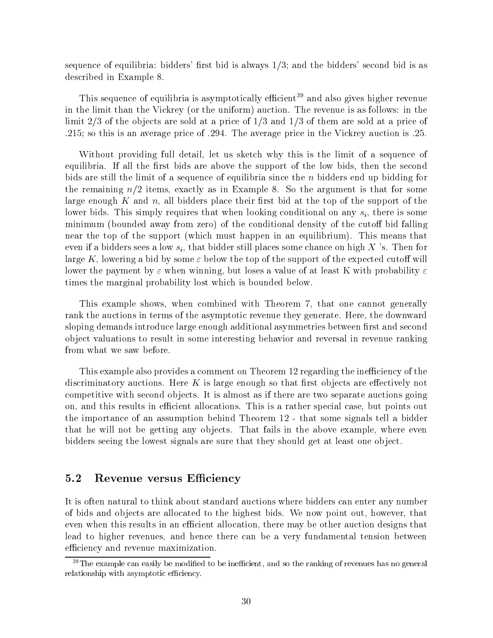sequence of equilibria: bidders' first bid is always  $1/3$ ; and the bidders' second bid is as described in Example 8.

This sequence of equilibria is asymptotically ecient <sup>39</sup> and also gives higher revenue in the limit than the Vickrey (or the uniform) auction. The revenue is as follows: in the limit  $2/3$  of the objects are sold at a price of  $1/3$  and  $1/3$  of them are sold at a price of .215; so this is an average price of .294. The average price in the Vickrey auction is .25.

Without providing full detail, let us sketch why this is the limit of a sequence of equilibria. If all the first bids are above the support of the low bids, then the second bids are still the limit of a sequence of equilibria since the n bidders end up bidding for the remaining  $n/2$  items, exactly as in Example 8. So the argument is that for some large enough K and n, all bidders place their first bid at the top of the support of the lower bids. This simply requires that when looking conditional on any  $s_i$ , there is some minimum (bounded away from zero) of the conditional density of the cutoff bid falling near the top of the support (which must happen in an equilibrium). This means that even if a bidders sees a low  $s_i$ , that bidder still places some chance on high X 's. Then for large K, lowering a bid by some  $\varepsilon$  below the top of the support of the expected cutoff will lower the payment by  $\varepsilon$  when winning, but loses a value of at least K with probability  $\varepsilon$ times the marginal probability lost which is bounded below.

This example shows, when combined with Theorem 7, that one cannot generally rank the auctions in terms of the asymptotic revenue they generate. Here, the downward sloping demands introduce large enough additional asymmetries between first and second ob ject valuations to result in some interesting behavior and reversal in revenue ranking from what we saw before.

This example also provides a comment on Theorem 12 regarding the inefficiency of the discriminatory auctions. Here  $K$  is large enough so that first objects are effectively not competitive with second objects. It is almost as if there are two separate auctions going on, and this results in efficient allocations. This is a rather special case, but points out the importance of an assumption behind Theorem 12 - that some signals tell a bidder that he will not be getting any objects. That fails in the above example, where even bidders seeing the lowest signals are sure that they should get at least one object.

#### 5.2 Revenue versus Efficiency

It is often natural to think about standard auctions where bidders can enter any number of bids and objects are allocated to the highest bids. We now point out, however, that even when this results in an efficient allocation, there may be other auction designs that lead to higher revenues, and hence there can be a very fundamental tension between efficiency and revenue maximization.

 $39$ The example can easily be modified to be inefficient, and so the ranking of revenues has no general relationship with asymptotic efficiency.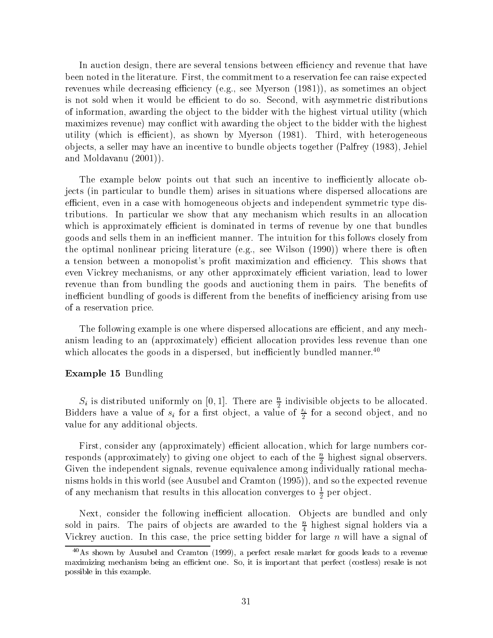In auction design, there are several tensions between efficiency and revenue that have been noted in the literature. First, the commitment to a reservation fee can raise expected revenues while decreasing efficiency (e.g., see Myerson  $(1981)$ ), as sometimes an object is not sold when it would be efficient to do so. Second, with asymmetric distributions of information, awarding the ob ject to the bidder with the highest virtual utility (which maximizes revenue) may conflict with awarding the object to the bidder with the highest utility (which is efficient), as shown by Myerson  $(1981)$ . Third, with heterogeneous ob jects, a seller may have an incentive to bundle ob jects together (Palfrey (1983), Jehiel and Moldavanu (2001)).

The example below points out that such an incentive to inefficiently allocate objects (in particular to bundle them) arises in situations where dispersed allocations are efficient, even in a case with homogeneous objects and independent symmetric type distributions. In particular we show that any mechanism which results in an allocation which is approximately efficient is dominated in terms of revenue by one that bundles goods and sells them in an inefficient manner. The intuition for this follows closely from the optimal nonlinear pricing literature (e.g., see Wilson (1990)) where there is often a tension between a monopolist's profit maximization and efficiency. This shows that even Vickrey mechanisms, or any other approximately efficient variation, lead to lower revenue than from bundling the goods and auctioning them in pairs. The benefits of inefficient bundling of goods is different from the benefits of inefficiency arising from use of a reservation price.

The following example is one where dispersed allocations are efficient, and any mechanism leading to an (approximately) efficient allocation provides less revenue than one which allocates the goods in a dispersed, but inefficiently bundled manner.<sup>40</sup>

#### Example 15 Bundling

 $S_i$  is distributed uniformly on [0, 1]. There are  $\frac{2}{2}$  indivisible objects to be allocated. Bidders have a value of  $s_i$  for a first object, a value of  $\frac{1}{2}$  for a second object, and no value for any additional objects.

First, consider any (approximately) efficient allocation, which for large numbers corresponds (approximately) to giving one object to each of the  $\frac{1}{2}$  highest signal observers. Given the independent signals, revenue equivalence among individually rational mechanisms holds in this world (see Ausubel and Cramton (1995)), and so the expected revenue of any mechanism that results in this allocation converges to  $\frac{1}{2}$  per object.

Next, consider the following inefficient allocation. Objects are bundled and only sold in pairs. The pairs of objects are awarded to the  $\frac{\cdot}{4}$  highest signal holders via a Vickrey auction. In this case, the price setting bidder for large  $n$  will have a signal of

 $^{40}$ As shown by Ausubel and Cramton (1999), a perfect resale market for goods leads to a revenue maximizing mechanism being an efficient one. So, it is important that perfect (costless) resale is not possible in this example.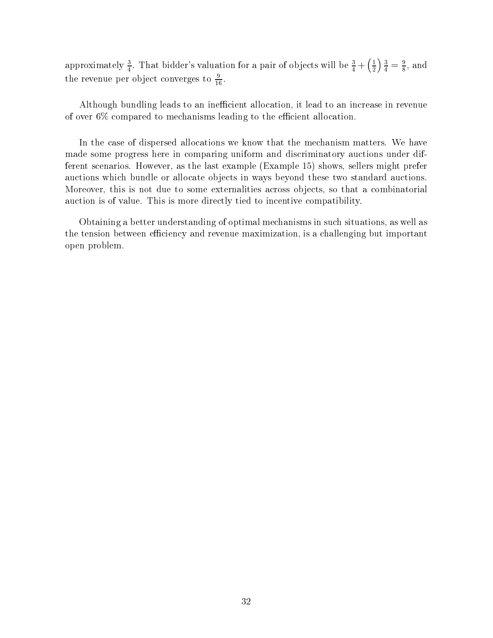approximately  $\frac{3}{4}$ . That bidder's valuation for a pair of objects will be  $\frac{3}{4} + (\frac{1}{2}) \frac{3}{4} = \frac{9}{8}$ , ar  $\left(\frac{1}{2}\right)\frac{3}{4}=\frac{9}{8}$ , and the revenue per object converges to  $\frac{1}{16}$ .

Although bundling leads to an inefficient allocation, it lead to an increase in revenue of over  $6\%$  compared to mechanisms leading to the efficient allocation.

In the case of dispersed allocations we know that the mechanism matters. We have made some progress here in comparing uniform and discriminatory auctions under different scenarios. However, as the last example (Example 15) shows, sellers might prefer auctions which bundle or allocate objects in ways beyond these two standard auctions. Moreover, this is not due to some externalities across ob jects, so that a combinatorial auction is of value. This is more directly tied to incentive compatibility.

Obtaining a better understanding of optimal mechanisms in such situations, as well as the tension between efficiency and revenue maximization, is a challenging but important open problem.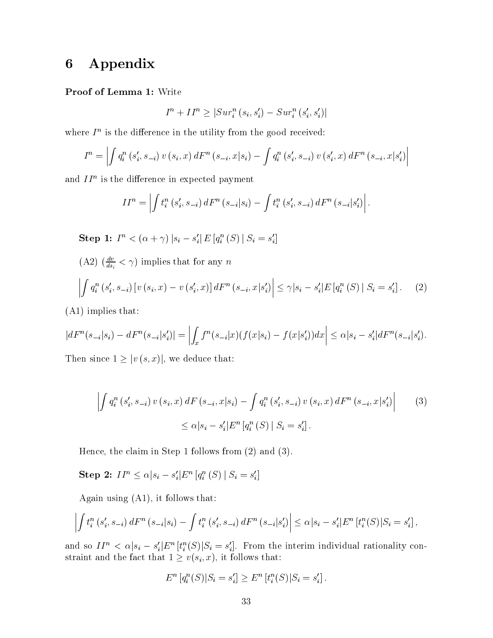## 6 Appendix

#### Proof of Lemma 1: Write

$$
I^{n} + II^{n} \geq |Sur_{i}^{n}(s_{i}, s_{i}') - Sur_{i}^{n}(s_{i}', s_{i}')|
$$

where  $T^*$  is the difference in the utility from the good received:

$$
I^{n} = \left| \int q_{i}^{n} (s'_{i}, s_{-i}) v(s_{i}, x) dF^{n} (s_{-i}, x | s_{i}) - \int q_{i}^{n} (s'_{i}, s_{-i}) v(s'_{i}, x) dF^{n} (s_{-i}, x | s'_{i}) \right|
$$

and II" is the difference in expected payment

$$
II^{n} = \left| \int t_{i}^{n} (s'_{i}, s_{-i}) dF^{n} (s_{-i}|s_{i}) - \int t_{i}^{n} (s'_{i}, s_{-i}) dF^{n} (s_{-i}|s'_{i}) \right|.
$$
  
Step 1:  $I^{n} < (\alpha + \gamma) |s_{i} - s'_{i}| E[q_{i}^{n}(S) | S_{i} = s'_{i}]$ 

 $(A2)$   $\left(\frac{a}{ds_i} \leq \gamma\right)$  implies that for any n

$$
\left| \int q_i^n(s'_i, s_{-i}) \left[ v(s_i, x) - v(s'_i, x) \right] dF^n(s_{-i}, x | s'_i) \right| \leq \gamma |s_i - s'_i| E\left[ q_i^n(S) \mid S_i = s'_i \right]. \tag{2}
$$

(A1) implies that:

$$
|dF^{n}(s_{-i}|s_{i}) - dF^{n}(s_{-i}|s'_{i})| = \left| \int_{x} f^{n}(s_{-i}|x)(f(x|s_{i}) - f(x|s'_{i}))dx \right| \leq \alpha|s_{i} - s'_{i}|dF^{n}(s_{-i}|s'_{i}).
$$

Then since  $1 \geq |v(s, x)|$ , we deduce that:

$$
\left| \int q_i^n \left( s_i', s_{-i} \right) v \left( s_i, x \right) dF \left( s_{-i}, x | s_i \right) - \int q_i^n \left( s_i', s_{-i} \right) v \left( s_i, x \right) dF^n \left( s_{-i}, x | s_i' \right) \right| \tag{3}
$$
  

$$
\leq \alpha |s_i - s_i'| E^n \left[ q_i^n \left( S \right) | S_i = s_i' \right].
$$

Hence, the claim in Step 1 follows from (2) and (3).

Step 2: 
$$
II^n \leq \alpha |s_i - s_i'|E^n [q_i^n(S) | S_i = s_i']
$$

Again using (A1), it follows that:

$$
\left| \int t_i^n(s'_i, s_{-i}) dF^n(s_{-i}|s_i) - \int t_i^n(s'_i, s_{-i}) dF^n(s_{-i}|s'_i) \right| \leq \alpha |s_i - s'_i| E^n[t_i^n(S)|S_i = s'_i],
$$

and so  $II^n < \alpha | s_i - s'_i | E^n \left[ t_i^n(S) | S_i = s'_i \right]$ . From the interim individual rationality constraint and the fact that  $1 \ge v(s_i, x)$ , it follows that:

$$
E^{n}[q_i^{n}(S)|S_i = s'_i] \ge E^{n}[t_i^{n}(S)|S_i = s'_i].
$$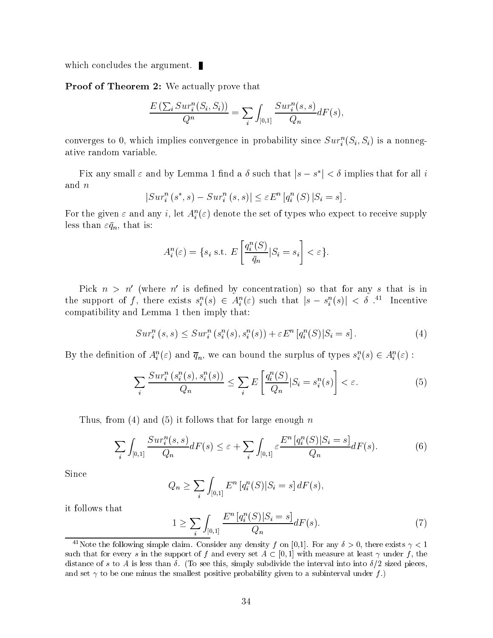which concludes the argument.

Proof of Theorem 2: We actually prove that

$$
\frac{E\left(\sum_{i} Sur_{i}^{n}(S_{i}, S_{i})\right)}{Q^{n}} = \sum_{i} \int_{[0,1]} \frac{Sur_{i}^{n}(s, s)}{Q_{n}} dF(s),
$$

converges to 0, which implies convergence in probability since  $\mathcal{S}ur_i^-(S_i, S_i)$  is a nonnegative random variable.

Fix any small  $\varepsilon$  and by Lemma 1 find a  $\delta$  such that  $|s - s^*| < \delta$  implies that for all i and n

$$
|Sur_i^n(s^*,s) - Sur_i^n(s,s)| \le \varepsilon E^n \left[ q_i^n(S) \, | S_i = s \right].
$$

For the given  $\varepsilon$  and any  $i$ , let  $A_i^-(\varepsilon)$  denote the set of types who expect to receive supply less than  $\varepsilon \bar{q}_n$ , that is:

$$
A_i^n(\varepsilon) = \{ s_i \text{ s.t. } E\left[\frac{q_i^n(S)}{\bar{q}_n} | S_i = s_i\right] < \varepsilon \}.
$$

Pick  $n > n'$  (where n' is defined by concentration) so that for any s that is in the support of f, there exists  $s_i^n(s) \in A_i^n(\varepsilon)$  such that  $|s - s_i^n(s)| < \delta$ .<sup>41</sup> Incentive compatibility and Lemma 1 then imply that:

$$
Sur_i^n(s, s) \leq Sur_i^n(s_i^n(s), s_i^n(s)) + \varepsilon E^n[q_i^n(S)|S_i = s].
$$
\n(4)

By the definition of  $A_i^u(\varepsilon)$  and  $\overline{q}_n$ , we can bound the surplus of types  $s_i^u(s) \in A_i^u(\varepsilon)$ :

$$
\sum_{i} \frac{Sur_i^n(s_i^n(s), s_i^n(s))}{Q_n} \le \sum_{i} E\left[\frac{q_i^n(S)}{Q_n} | S_i = s_i^n(s)\right] < \varepsilon. \tag{5}
$$

Thus, from (4) and (5) it follows that for large enough  $n$ 

$$
\sum_{i} \int_{[0,1]} \frac{\operatorname{Sur}_i^n(s,s)}{Q_n} dF(s) \le \varepsilon + \sum_{i} \int_{[0,1]} \varepsilon \frac{E^n \left[ q_i^n(S) | S_i = s \right]}{Q_n} dF(s). \tag{6}
$$

Since

$$
Q_n \ge \sum_i \int_{[0,1]} E^n \left[ q_i^n(S) | S_i = s \right] dF(s),
$$

it follows that

$$
1 \ge \sum_{i} \int_{[0,1]} \frac{E^n \left[ q_i^n(S) | S_i = s \right]}{Q_n} dF(s). \tag{7}
$$

<sup>&</sup>lt;sup>41</sup>Note the following simple claim. Consider any density f on [0,1]. For any  $\delta > 0$ , there exists  $\gamma < 1$ such that for every s in the support of f and every set  $A \subset [0,1]$  with measure at least  $\gamma$  under f, the distance of s to A is less than  $\delta$ . (To see this, simply subdivide the interval into into  $\delta/2$  sized pieces, and set  $\gamma$  to be one minus the smallest positive probability given to a subinterval under f.)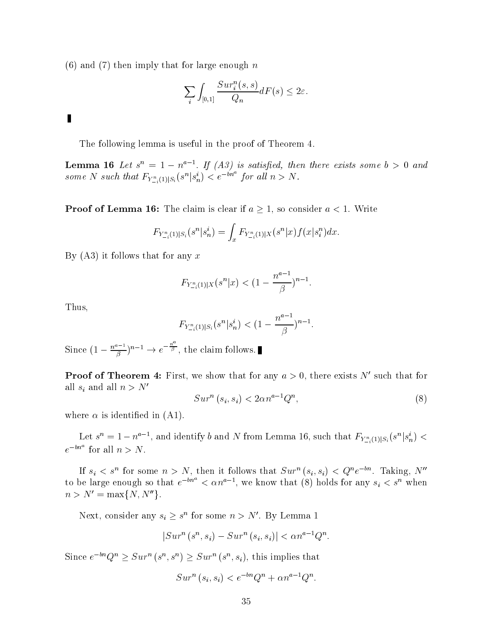$(6)$  and  $(7)$  then imply that for large enough n

$$
\sum_{i} \int_{[0,1]} \frac{Sur_i^n(s,s)}{Q_n} dF(s) \le 2\varepsilon.
$$

## $\blacksquare$

The following lemma is useful in the proof of Theorem 4.

**Lemma 10** Let  $s^2 = 1 - n^2$  . If (A3) is satisfied, then there exists some  $s > 0$  and some N such that  $F_{Y^n_{-i}(1)|S_i}(s^n|s_n^i) < e^{-bn^a}$  for all  $n > N$ .

**Proof of Lemma 16:** The claim is clear if  $a \geq 1$ , so consider  $a < 1$ . Write

$$
F_{Y_{-i}^n(1)|S_i}(s^n|s_n^i) = \int_x F_{Y_{-i}^n(1)|X}(s^n|x) f(x|s_i^n) dx.
$$

By  $(A3)$  it follows that for any x

$$
F_{Y_{-i}^n(1)|X}(s^n|x) < (1 - \frac{n^{a-1}}{\beta})^{n-1}.
$$

Thus,

$$
F_{Y_{-i}^n(1)|S_i}(s^n|s_n^i) < (1 - \frac{n^{a-1}}{\beta})^{n-1}.
$$

Since  $(1-\frac{n^{a-1}}{a})^{n-1}\to e^{-\frac{n}{\beta}}$ , the claim follows. 

**Proof of Theorem 4:** First, we show that for any  $a > 0$ , there exists N' such that for all  $s_i$  and all  $n>N'$ 

$$
Surn (si, si) < 2\alpha na-1Qn,
$$
\n(8)

where  $\alpha$  is identified in (A1).

Let  $s^n = 1 - n^{a-1}$ , and identify b and N from Lemma 16, such that  $F_{Y_{-i}^n(1)|S_i}(s^n|s_n^i) <$  $e^{-\theta n}$  for all  $n>N$ .

If  $s_i \leq s^{\alpha}$  for some  $n > N$ , then it follows that  $\mathcal{S}ur^{\alpha}(s_i, s_i) \leq Q^{\alpha}e^{-\alpha \alpha}$ . Taking, *N* to be large enough so that  $e^{-m} < \alpha n^{a-1}$ , we know that (8) holds for any  $s_i < s^n$  when  $n > N' = \max\{N, N''\}.$ 

Next, consider any  $s_i \geq s^n$  for some  $n > N'$ . By Lemma 1

$$
|Sur^n(s^n, s_i) - Sur^n(s_i, s_i)| < \alpha n^{a-1}Q^n.
$$

Since  $e^{-\omega n}Q^n \geq Sur^n(s^n,s^n) \geq Sur^n(s^n,s_i)$ , this implies that

$$
Sur^n (s_i, s_i) < e^{-bn}Q^n + \alpha n^{a-1}Q^n.
$$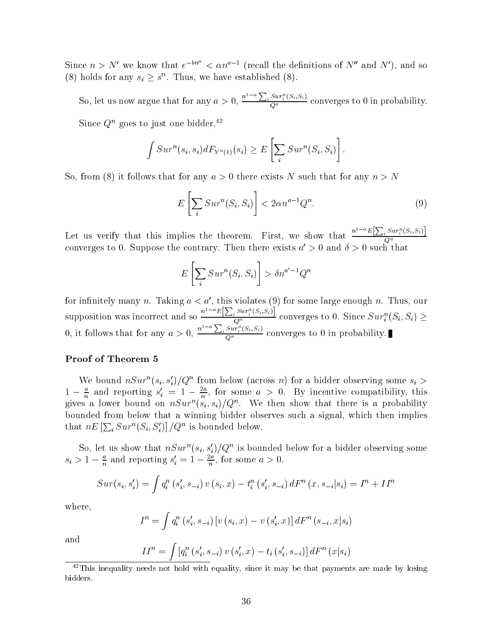Since  $n > N'$  we know that  $e^{-bn^a} < \alpha n^{a-1}$  (recall the definitions of  $N''$  and  $N'$ ), and so (8) holds for any  $s_i \geq s^n$ . Thus, we have established (8).

So, let us now argue that for any  $a > 0$ ,  $\frac{n^{1-a}\sum_i Sur_i^n(S_i,S_i)}{Q^n}$  converges to 0 in probability.

Since  $Q^n$  goes to just one bidder,<sup>42</sup>

$$
\int Sur^n(s_i, s_i)dF_{Y^n(1)}(s_i) \geq E\left[\sum_i Sur^n(S_i, S_i)\right].
$$

So, from (8) it follows that for any  $a > 0$  there exists N such that for any  $n > N$ 

$$
E\left[\sum_{i} Sur^{n}(S_{i}, S_{i})\right] < 2\alpha n^{a-1}Q^{n}.\tag{9}
$$

Let us verify that this implies the theorem. First, we show that  $\frac{n^{1-a}E[\sum_i Sur_i^n(S_i,S_i)]}{\sigma^2}$  $\omega$  and  $\omega$ converges to 0. Suppose the contrary. Then there exists  $a\,>0$  and  $o\,>0$  such that

$$
E\left[\sum_{i} Sur^{n}(S_{i}, S_{i})\right] > \delta n^{a'-1}Q^{n}
$$

for infinitely many n. Taking  $a < a'$ , this violates (9) for some large enough n. Thus, our supposition was incorrect and so  $\frac{n^{1-a}E[\sum_i Sur_i^n(S_i,S_i)]}{Q^n}$  converges to 0. Since  $Sur_i^n(S_i,S_i) \geq 0$ 0, it follows that for any  $a > 0$ ,  $\frac{n^{1-a}\sum_i Sur_i^n(S_i,S_i)}{Q^n}$  converges to 0 in probability.

#### Proof of Theorem 5

We bound  $n\text{Sur}^*(s_i,s_i)/Q$  from below (across n) for a bidder observing some  $s_i >$  $1 - \frac{2}{n}$  and reporting  $s_i = 1 - \frac{2}{n}$ , for some  $a > 0$ . By incentive compatibility, this gives a lower bound on  $nSur^-(s_i,s_i)/Q^{\sim}$ . We then show that there is a probability bounded from below that a winning bidder observes such a signal, which then implies that  $nE\left[\sum_i Sur^n(S_i, S'_i)\right]/Q^n$  is bounded below.

So, let us show that  $nSur^-(s_i, s_i)/Q$  is bounded below for a bidder observing some  $s_i > 1 - \frac{1}{n}$  and reporting  $s_i = 1 - \frac{1}{n}$ , for some  $a > 0$ .

$$
Sur(s_i,s_i') = \int q_i^n (s_i',s_{-i}) v (s_i,x) - t_i^n (s_i',s_{-i}) dF^n (x,s_{-i}|s_i) = I^n + II^n
$$

where,

$$
I^n = \int q^n_i \left( s'_i, s_{-i} \right) \left[ v \left( s_i, x \right) - v \left( s'_i, x \right) \right] dF^n \left( s_{-i}, x | s_i \right)
$$

and

$$
II^{n} = \int [q_{i}^{n} (s'_{i}, s_{-i}) v (s'_{i}, x) - t_{i} (s'_{i}, s_{-i})] dF^{n} (x|s_{i})
$$

 $42$ This inequality needs not hold with equality, since it may be that payments are made by losing bidders.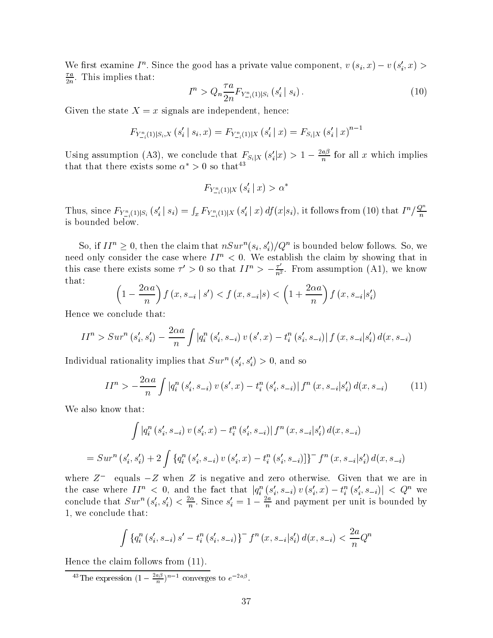We first examine  $T^*$ . Since the good has a private value component,  $v(s_i, x) - v(s_i, x) > 0$  $\div$ . This implies that:

$$
I^{n} > Q_{n} \frac{\tau a}{2n} F_{Y_{-i}^{n}(1)|S_{i}} \left( s_{i}' \mid s_{i} \right). \tag{10}
$$

Given the state  $X = x$  signals are independent, hence:

$$
F_{Y_{-i}^{n}(1)|S_i,X}(s_i' | s_i,x) = F_{Y_{-i}^{n}(1)|X}(s_i' | x) = F_{S_i|X}(s_i' | x)^{n-1}
$$

Using assumption (A3), we conclude that  $F_{S_i|X}(s_i'|x) > 1 - \frac{2ab}{n}$  for all x which implies that that there exists some  $\alpha > 0$  so that

$$
F_{Y_{-i}^n(1)|X}\left(s_i' \mid x\right) > \alpha^*
$$

Thus, since  $F_{Y_{-i}^n(1)|S_i}(s_i' | s_i) = \int_x F_{Y_{-i}^n(1)|X}(s_i' | x) df(x|s_i)$ , it follows from (10) that  $I^n/\frac{Q^n}{n}$ is bounded below.

So, if  $II^n \geq 0$ , then the claim that  $nSur^n(s_i, s'_i)/Q^n$  is bounded below follows. So, we need only consider the case where  $II^n < 0$ . We establish the claim by showing that in this case there exists some  $\tau' > 0$  so that  $II^n > -\frac{\tau}{n^2}$ . From assumption (A1), we know that:

$$
\left(1 - \frac{2\alpha a}{n}\right) f\left(x, s_{-i} \mid s'\right) < f\left(x, s_{-i} \mid s\right) < \left(1 + \frac{2\alpha a}{n}\right) f\left(x, s_{-i} \mid s'_i\right)
$$

Hence we conclude that:

$$
II^{n} > Sur^{n}(s'_{i}, s'_{i}) - \frac{2\alpha a}{n} \int |q_{i}^{n}(s'_{i}, s_{-i}) v(s', x) - t_{i}^{n}(s'_{i}, s_{-i})| f(x, s_{-i}|s'_{i}) d(x, s_{-i})
$$

individual rationality implies that  $\textit{Sur}^{\sim}(s_i,s_i) > 0,$  and so

$$
II^{n} > -\frac{2\alpha a}{n} \int |q_{i}^{n}(s_{i}', s_{-i}) v(s', x) - t_{i}^{n}(s_{i}', s_{-i})| f^{n}(x, s_{-i}|s_{i}') d(x, s_{-i})
$$
(11)

We also know that:

$$
\int |q_i^n(s_i', s_{-i}) v(s_i', x) - t_i^n(s_i', s_{-i})| f^n(x, s_{-i}|s_i') d(x, s_{-i})
$$
  
= 
$$
Sur^n(s_i', s_i') + 2 \int \{q_i^n(s_i', s_{-i}) v(s_i', x) - t_i^n(s_i', s_{-i})\}^{-} f^n(x, s_{-i}|s_i') d(x, s_{-i})
$$

where  $Z =$  equals  $-Z$  when  $Z$  is negative and zero otherwise. Given that we are in the case where  $II^n < 0$ , and the fact that  $|q_i^n(s_i', s_{-i}) v(s_i', x) - t_i^n(s_i', s_{-i})| < Q^n$  we conclude that  $Sur^*(s_i, s_i) < \frac{m}{n}$ . Since  $s_i = 1 - \frac{m}{n}$  and payment per unit is bounded by 1, we conclude that:

$$
\int \left\{ q_i^n \left( s_i', s_{-i} \right) s' - t_i^n \left( s_i', s_{-i} \right) \right\}^{-} f^n \left( x, s_{-i} | s_i' \right) d(x, s_{-i}) < \frac{2a}{n} Q^n
$$

Hence the claim follows from (11).

 $\frac{16}{10}$  in expression  $(1 - \frac{26}{n})^n$  converges to e<sup>2ap</sup>.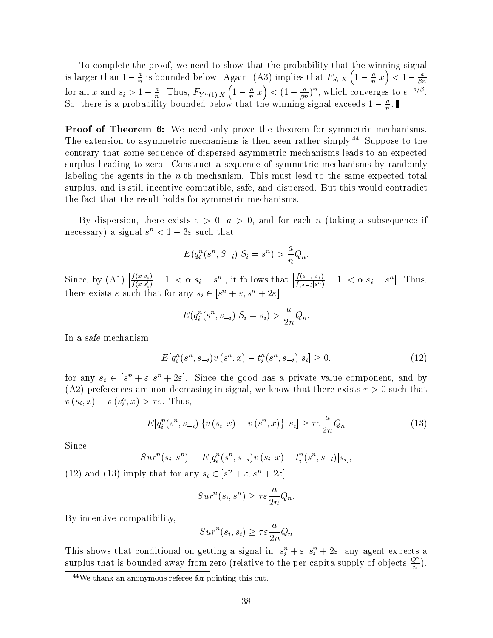To complete the proof, we need to show that the probability that the winning signal is larger than  $1 - \frac{1}{n}$  is bounded below. Again, (A3) implies that  $F_{S_i | X}$  (  $1 - \frac{1}{n} | x)$  $\left(1-\frac{a}{n}\vert x\right) < 1-\frac{a}{\beta n}$ for all x and  $s_i > 1 - \frac{1}{n}$ . Thus,  $F_{Y^n(1)|X}$   $(1 - \frac{1}{n}|X)$  $\left(1-\frac{a}{n}\vert x\right)<(1-\frac{a}{\beta n})^n$ , which converges to  $e^{-a/\beta}$ . So, there is a probability bounded below that the winning signal exceeds  $1 - \frac{1}{n}$ .

**Proof of Theorem 6:** We need only prove the theorem for symmetric mechanisms. The extension to asymmetric mechanisms is then seen rather simply.<sup>44</sup> Suppose to the contrary that some sequence of dispersed asymmetric mechanisms leads to an expected surplus heading to zero. Construct a sequence of symmetric mechanisms by randomly labeling the agents in the  $n$ -th mechanism. This must lead to the same expected total surplus, and is still incentive compatible, safe, and dispersed. But this would contradict the fact that the result holds for symmetric mechanisms.

By dispersion, there exists  $\varepsilon > 0$ ,  $a > 0$ , and for each n (taking a subsequence if necessary) a signal  $s \leq 1 - 3\varepsilon$  such that

$$
E(q_i^n(s^n, S_{-i})|S_i = s^n) > \frac{a}{n}Q_n.
$$

Since, by (A1)  $\left| \frac{f(x|s_i)}{f(x|s'_i)} - 1 \right| < \alpha |s_i - s$  $\left| \langle \alpha | s_i - s^n |$ , it follows that  $\left| \frac{f(s_{-i}|s_i)}{f(s_{-i}|s^n)} - 1 \right| \langle \alpha | s_i - s \rangle$  $|<\alpha|s_i-s^n|$ . Thus, there exists  $\varepsilon$  such that for any  $s_i \in [s^n + \varepsilon, s^n + 2\varepsilon]$ 

$$
E(q_i^n(s^n, s_{-i})|S_i = s_i) > \frac{a}{2n}Q_n.
$$

In a safe mechanism,

$$
E[q_i^n(s^n, s_{-i})v(s^n, x) - t_i^n(s^n, s_{-i})|s_i] \ge 0,
$$
\n(12)

for any  $s_i \in [s^n + \varepsilon, s^n + 2\varepsilon]$ . Since the good has a private value component, and by (A2) preferences are non-decreasing in signal, we know that there exists  $\tau > 0$  such that  $v(s_i, x) - v(s_i, x) > t$ . Inus,

$$
E[q_i^n(s^n, s_{-i}) \{ v(s_i, x) - v(s^n, x) \} | s_i] \ge \tau \varepsilon \frac{a}{2n} Q_n \tag{13}
$$

Since

$$
Sur^n(s_i, s^n) = E[q_i^n(s^n, s_{-i})v(s_i, x) - t_i^n(s^n, s_{-i})|s_i],
$$

(12) and (13) imply that for any  $s_i \in |s^n + \varepsilon, s^n + 2\varepsilon|$ 

$$
Sur^n(s_i, s^n) \ge \tau \varepsilon \frac{a}{2n} Q_n.
$$

By incentive compatibility,

$$
Sur^n(s_i, s_i) \ge \tau \varepsilon \frac{a}{2n} Q_n
$$

This shows that conditional on getting a signal in  $[s_i^* + \varepsilon, s_i^* + 2\varepsilon]$  any agent expects a surplus that is bounded away from zero (relative to the per-capita supply of objects  $\frac{\mathcal{Q}}{n}$ ).

<sup>44</sup>We thank an anonymous referee for pointing this out.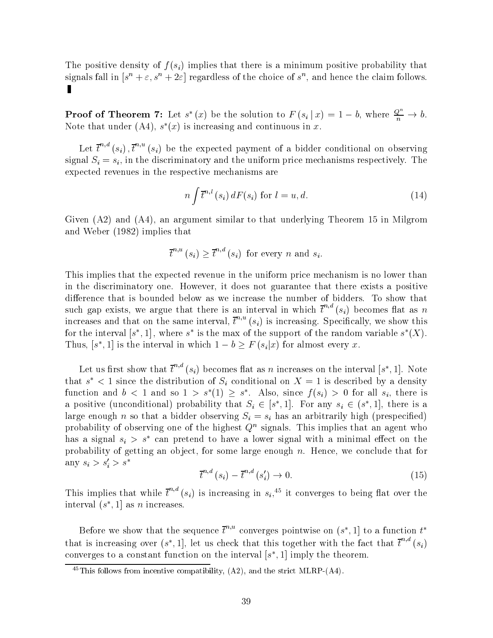The positive density of  $f(s_i)$  implies that there is a minimum positive probability that signals fall in  $|s| + \varepsilon, s| + 2\varepsilon$  regardless of the choice of  $s$  , and hence the claim follows.  $\blacksquare$ 

**Proof of Theorem 7:** Let  $s^*(x)$  be the solution to  $F(s_i | x) = 1 - b$ , where  $\frac{Q^n}{n} \to b$ . ivote that under (A4),  $s$  (x) is increasing and continuous in x.

Let  $\bar{t}^{n,d}(s_i)$ ,  $\bar{t}^{n,u}(s_i)$  be the expected payment of a bidder conditional on observing signal  $S_i = s_i$ , in the discriminatory and the uniform price mechanisms respectively. The expected revenues in the respective mechanisms are

$$
n \int \overline{t}^{n,l}(s_i) dF(s_i) \text{ for } l = u, d. \tag{14}
$$

Given (A2) and (A4), an argument similar to that underlying Theorem 15 in Milgrom and Weber (1982) implies that

$$
\bar{t}^{n,u}(s_i) \geq \bar{t}^{n,d}(s_i)
$$
 for every *n* and  $s_i$ .

This implies that the expected revenue in the uniform price mechanism is no lower than in the discriminatory one. However, it does not guarantee that there exists a positive difference that is bounded below as we increase the number of bidders. To show that such gap exists, we argue that there is an interval in which  $t^{\gamma,\tau}(s_i)$  becomes flat as n increases and that on the same interval,  $t^+(s_i)$  is increasing. Specifically, we show this for the interval  $[s_+,1]$  , where  $s_-$  is the max of the support of the random variable  $s_+(x)$ . Thus,  $[s^*, 1]$  is the interval in which  $1 - b \geq F(s_i|x)$  for almost every x.

Let us first show that  $t^+(s_i)$  becomes flat as n increases on the interval  $[s^*,1]$ . Note that  $s \leq 1$  since the distribution of  $S_i$  conditional on  $\Lambda = 1$  is described by a density function and  $b < 1$  and so  $1 > s^*(1) \geq s^*$ . Also, since  $f(s_i) > 0$  for all  $s_i$ , there is a positive (unconditional) probability that  $S_i \in [s^*, 1]$ . For any  $s_i \in (s^*, 1]$ , there is a large enough n so that a bidder observing  $S_i = s_i$  has an arbitrarily high (prespecified) probability of observing one of the highest  $Q^\pi$  signals. This implies that an agent who has a signal  $s_i > s$  -can pretend to have a lower signal with a minimal effect on the  $\sim$ probability of getting an object, for some large enough  $n$ . Hence, we conclude that for any  $s_i > s'_i > s^*$ 

$$
\overline{t}^{n,d}(s_i) - \overline{t}^{n,d}(s_i') \to 0. \tag{15}
$$

This implies that while  $\bar{t}^{n,d}(s_i)$  is increasing in  $s_i$ <sup>45</sup> it converges to being flat over the interval ( $s$  ,  $1$  as  $n$  increases.

Before we show that the sequence  $t^{\prime\prime}$  converges pointwise on (s<sup>\*</sup>, 1) to a function  $t^{\ast}$ that is increasing over  $(s^*, 1]$ , let us check that this together with the fact that  $t^{n,*}(s_i)$ converges to a constant function on the interval  $[s_-,1]$  imply the theorem.

 $^{45}$ This follows from incentive compatibility, (A2), and the strict MLRP-(A4).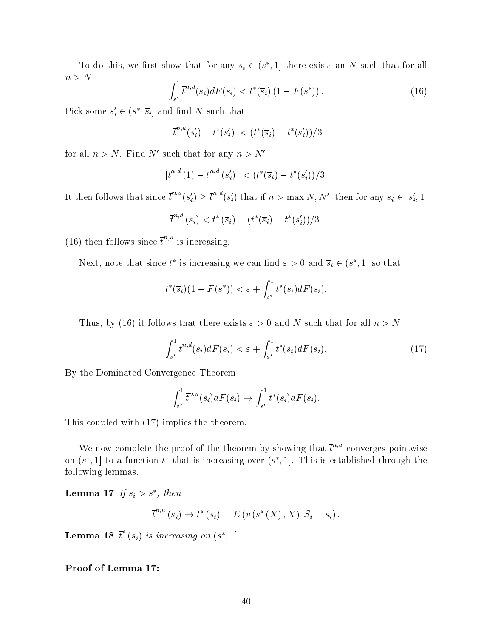To do this, we first show that for any  $\overline{s}_i \in (s^* , 1]$  there exists an N such that for all  $n>N$ z a material contract and contract of the state of the state of the state of the state of the state of the state of the state of the state of the state of the state of the state of the state of the state of the state of th

$$
\int_{s^*}^1 \overline{t}^{n,d}(s_i) dF(s_i) < t^*(\overline{s}_i) \left(1 - F(s^*)\right). \tag{16}
$$

Pick some  $s_i \in (s^*, \overline{s}_i]$  and find N such that

$$
|\bar{t}^{n,u}(s_i') - t^*(s_i')| < (t^*(\bar{s}_i) - t^*(s_i'))/3
$$

for all  $n>N$ . Find N' such that for any  $n>N'$ 

$$
|\bar{t}^{n,d}(1)-\bar{t}^{n,d}(s'_i)| < (t^*(\bar{s}_i)-t^*(s'_i))/3.
$$

It then follows that since  $t^{n,u}(s_i) \ge t^{n,u}(s_i')$  that if  $n > \max[N, N']$  then for any  $s_i \in [s_i', 1]$ 

$$
\overline{t}^{n,d}(s_i) < t^*(\overline{s}_i) - \left(t^*(\overline{s}_i) - t^*(s_i')\right)/3.
$$

(16) then follows since  $\bar{t}^{n,d}$  is increasing.

Next, note that since t<sup>\*</sup> is increasing we can find  $\varepsilon > 0$  and  $\overline{s}_i \in (s^*, 1]$  so that

$$
t^*(\overline{s}_i)(1-F(s^*)) < \varepsilon + \int_{s^*}^1 t^*(s_i)dF(s_i).
$$

Thus, by (16) it follows that there exists  $\varepsilon > 0$  and N such that for all  $n > N$ 

$$
\int_{s^*}^1 \overline{t}^{n,d}(s_i) dF(s_i) < \varepsilon + \int_{s^*}^1 t^*(s_i) dF(s_i). \tag{17}
$$

By the Dominated Convergence Theorem

$$
\int_{s^*}^1 \overline{t}^{n,u}(s_i)dF(s_i) \to \int_{s^*}^1 t^*(s_i)dF(s_i).
$$

This coupled with (17) implies the theorem.

We now complete the proof of the theorem by showing that  $\bar{t}^{n,u}$  converges pointwise on (s), i) to a function  $t$  -that is increasing over (s), i). This is established through the following lemmas.

**Lemma 17** If  $s_i > s$ , then

$$
\bar{t}^{n,u}(s_i) \to t^*(s_i) = E(v(s^*(X), X) | S_i = s_i).
$$

**Lemma 18** t (s<sub>i</sub>) is increasing on  $(s^*, 1]$ .

Proof of Lemma 17: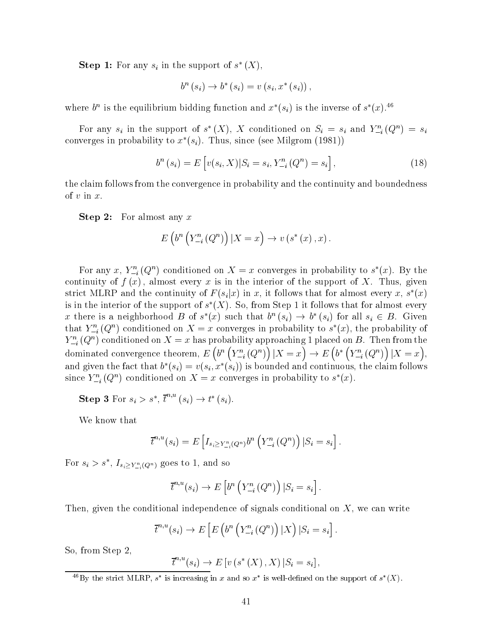Step 1: For any  $s_i$  in the support of  $s$  ( $\Lambda$ ),

$$
b^{n}(s_{i}) \to b^{*}(s_{i}) = v(s_{i}, x^{*}(s_{i})),
$$

where  $\delta^+$  is the equilibrium bidding function and  $x$  ( $s_i$ ) is the inverse of s (x).  $\delta^+$ 

For any  $s_i$  in the support of  $s(\Lambda)$ ,  $\Lambda$  conditioned on  $S_i = s_i$  and  $Y_{-i}(\mathcal{Q}) = s_i$ converges in probability to  $x^*(s_i)$ . Thus, since (see Milgrom (1981))

$$
b^{n}(s_{i}) = E\left[v(s_{i}, X)|S_{i} = s_{i}, Y_{-i}^{n}(Q^{n}) = s_{i}\right],
$$
\n(18)

the claim follows from the convergence in probability and the continuity and boundedness of  $v$  in  $x$ .

**Step 2:** For almost any  $x$ 

$$
E\left(b^n\left(Y^n_{-i}\left(Q^n\right)\right)|X=x\right) \to v\left(s^*\left(x\right),x\right).
$$

For any  $x, Y_{-i}(\mathcal{Q}^*)$  conditioned on  $\Lambda = x$  converges in probability to  $s(x)$ . By the continuity of  $f(x)$ , almost every x is in the interior of the support of X. Thus, given strict MLRP and the continuity of  $F(s_i|x)$  in  $x$ , it follows that for almost every  $x, s^*(x)$ is in the interior of the support of  $s$  ( $\Lambda$ ). So, from Step 1 it follows that for almost every x there is a neighborhood B of  $s^*(x)$  such that  $b^n(s_i) \to b^*(s_i)$  for all  $s_i \in B$ . Given that  $Y_{-i} (Q)$  conditioned on  $\Lambda = x$  converges in probability to s  $(x)$ , the probability of  $Y_{-i}^-(Q^+)$  conditioned on  $\Lambda = x$  has probability approaching 1 placed on B. Then from the dominated convergence theorem, Eq. ( ) and the convergence theorem, Eq. ( ) and Eq. ( ) and Eq. ( ) and Eq. (  $\left(b^{n}\left(Y_{-i}^{n}(Q^{n})\right)|X=x\right)\to E\left(b^{*}\left(Y_{-i}^{n}(Q^{n})\right)\right)$  $b^{*}\left(Y_{-i}^{n}\left(Q^{n}\right)\right)|X=x|,$ and given the fact that  $b_-(s_i) = v(s_i, x_-(s_i))$  is bounded and continuous, the claim follows since  $Y_{-i}(\mathcal{Q})$  conditioned on  $\Lambda = x$  converges in probability to  $s(x)$ .

Step 3 For  $s_i > s^*$ ,  $t^{n+1}(s_i) \rightarrow t^*(s_i)$ .

We know that

$$
\overline{t}^{n,u}(s_i)=E\left[I_{s_i\geq Y^n_{-i}(Q^n)}b^n\left(Y^n_{-i}\left(Q^n\right)\right)|S_i=s_i\right].
$$

For  $s_i > s$  ,  $I_{s_i \ge Y_{-i}^n(Q^n)}$  goes to 1, and so

$$
\overline{t}^{n,u}(s_i) \to E\left[b^n\left(Y_{-i}^n\left(Q^n\right)\right)|S_i = s_i\right].
$$

Then, given the conditional independence of signals conditional on  $X$ , we can write

$$
\overline{t}^{n,u}(s_i) \to E\left[E\left(b^n\left(Y_{-i}^n(Q^n)\right)|X\right)|S_i = s_i\right].
$$

So, from Step 2,

$$
\overline{t}^{n,u}(s_i) \to E[v(s^*(X), X) | S_i = s_i],
$$

 $\Box$  by the strict MLRP, s is increasing in x and so x is well-defined on the support of s  $(X)$ .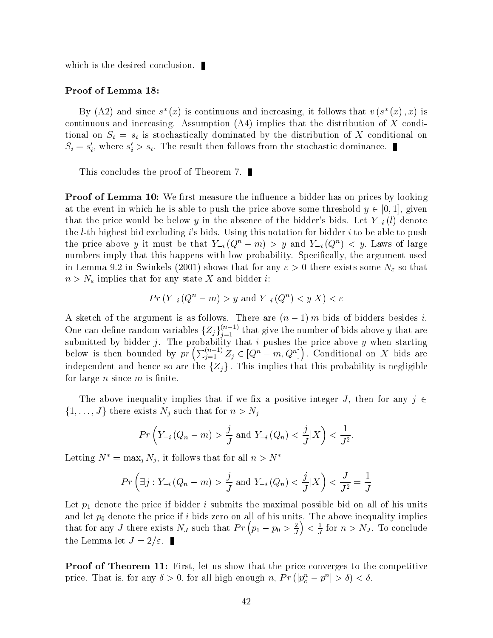which is the desired conclusion.

#### Proof of Lemma 18:

By  $(A2)$  and since  $s_-(x)$  is continuous and increasing, it follows that  $v(s_-(x),x)$  is continuous and increasing. Assumption (A4) implies that the distribution of X conditional on  $S_i = s_i$  is stochastically dominated by the distribution of X conditional on  $S_i \equiv s_i$ , where  $s_i > s_i$ . The result then follows from the stochastic dominance.

This concludes the proof of Theorem 7.

**Proof of Lemma 10:** We first measure the influence a bidder has on prices by looking at the event in which he is able to push the price above some threshold  $y \in [0, 1]$ , given that the price would be below y in the absence of the bidder's bids. Let  $Y_{-i}(l)$  denote the *l*-th highest bid excluding *i*'s bids. Using this notation for bidder *i* to be able to push the price above y it must be that  $Y_{-i}(Q^m - m) > y$  and  $Y_{-i}(Q^m) \leq y$ . Laws of large numbers imply that this happens with low probability. Specifically, the argument used in Lemma 9.2 in Swinkels (2001) shows that for any  $\varepsilon > 0$  there exists some  $N_{\varepsilon}$  so that  $n>N_{\varepsilon}$  implies that for any state X and bidder *i*:

$$
Pr(Y_{-i}(Q^n - m) > y \text{ and } Y_{-i}(Q^n) < y | X) < \varepsilon
$$

A sketch of the argument is as follows. There are  $(n = 1)$  m bids of bidders besides  $i$ . One can define random variables  $\{Z_j\}_{i=1}^{(n-1)}$  that give the number of bids above y that are submitted by bidder j. The probability that is pushed by pushes that in pushes the price above y when starting below is then bounded by  $pr\left(\sum_{i=1}^{(n-1)} Z_i \in [Q^n - m, Q^n]\right)$ . Conditional on X bids are independent and hence so are the  $\{Z_j\}$ . This implies that this probability is negligible for large  $n$  since  $m$  is finite.

The above inequality implies that if we fix a positive integer J, then for any  $j \in$  $\{1,\ldots,J\}$  there exists  $N_j$  such that for  $n>N_j$ 

$$
Pr\left(Y_{-i}\left(Q_n - m\right) > \frac{j}{J} \text{ and } Y_{-i}\left(Q_n\right) < \frac{j}{J}|X\right) < \frac{1}{J^2}.
$$

Letting  $N^* = \max_j N_j$ , it follows that for all  $n > N^*$ 

$$
Pr\left(\exists j:Y_{-i}\left(Q_n-m\right)>\frac{j}{J} \text{ and } Y_{-i}\left(Q_n\right)<\frac{j}{J}|X\right)<\frac{J}{J^2}=\frac{1}{J}
$$

Let  $p_1$  denote the price if bidder i submits the maximal possible bid on all of his units and let  $p_0$  denote the price if  $i$  bids zero on all of his units. The above inequality implies that for any J there exists  $N_J$  such that  $Pr(p_1 - p_0 > \frac{2}{J}) < \frac{1}{J}$  for  $n > N_J$ . To conclude the Lemma let  $J = 2/\varepsilon$ .

**Proof of Theorem 11:** First, let us show that the price converges to the competitive price. That is, for any  $\delta > 0$ , for all high enough  $n$ ,  $Pr\left( \left|p_c^n - p^n\right| > \delta \right) < \delta$ .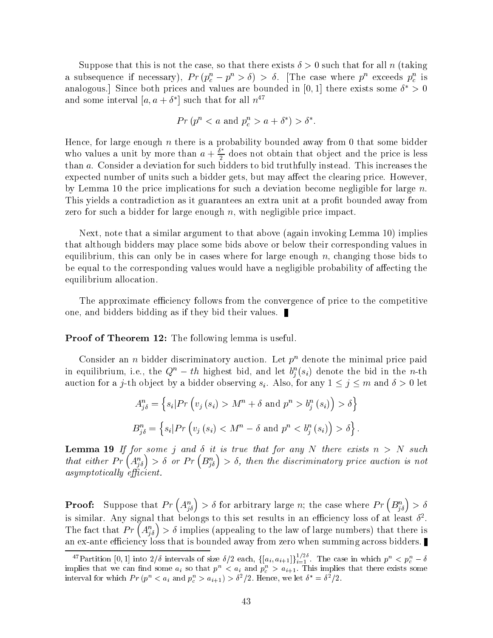Suppose that this is not the case, so that there exists  $\delta > 0$  such that for all n (taking a subsequence if necessary),  $Pr(p_c - p > o) > o$ . [The case where p exceeds  $p_c$  is analogous. Since both prices and values are bounded in  $[0,1]$  there exists some  $\theta \geq 0$ and some interval  $|a, a + o|$  such that for all  $n-$ 

$$
Pr(p^n < a \text{ and } p_c^n > a + \delta^*) > \delta^*.
$$

Hence, for large enough n there is a probability bounded away from 0 that some bidder who values a unit by more than  $a + \frac{\delta^*}{2}$  does not obtain that object and the price is less than a. Consider a deviation for such bidders to bid truthfully instead. This increases the expected number of units such a bidder gets, but may affect the clearing price. However, by Lemma 10 the price implications for such a deviation become negligible for large  $n$ . This yields a contradiction as it guarantees an extra unit at a profit bounded away from zero for such a bidder for large enough  $n$ , with negligible price impact.

Next, note that a similar argument to that above (again invoking Lemma 10) implies that although bidders may place some bids above or below their corresponding values in equilibrium, this can only be in cases where for large enough  $n$ , changing those bids to be equal to the corresponding values would have a negligible probability of affecting the equilibrium allocation.

The approximate efficiency follows from the convergence of price to the competitive one, and bidders bidding as if they bid their values.

Proof of Theorem 12: The following lemma is useful.

Consider an *n* bidder discriminatory auction. Let  $p^n$  denote the minimal price paid in equilibrium, i.e., the  $Q^+ = t\hbar$  highest bid, and let  $\theta^*_i(s_i)$  denote the bid in the  $n$ -th auction for a j-th object by a bidder observing  $s_i$ . Also, for any  $1 \leq j \leq m$  and  $\delta > 0$  let

$$
A_{j\delta}^{n} = \left\{ s_i \middle| Pr \left( v_j \left( s_i \right) > M^n + \delta \text{ and } p^n > b_j^n \left( s_i \right) \right) > \delta \right\}
$$
  

$$
B_{j\delta}^{n} = \left\{ s_i \middle| Pr \left( v_j \left( s_i \right) < M^n - \delta \text{ and } p^n < b_j^n \left( s_i \right) \right) > \delta \right\}.
$$

**Lemma 19** If for some j and  $\delta$  it is true that for any N there exists  $n > N$  such that either  $Pr(A_{i\delta}^n) > \delta$  or  $Pr(B_{i\delta}^n) > \delta$ , then the discriminatory price auction is not  $asymptotically$  efficient.

**Proof:** Suppose that  $Pr(A_{i\delta}^n) > \delta$  for arbitrary large n; the case where  $Pr(B_{i\delta}^n) > \delta$ is similar. Any signal that belongs to this set results in an emclency loss of at least  $\sigma$  . The fact that  $Pr(A_{i\delta}^n) > \delta$  implies (appealing to the law of large numbers) that there is an ex-ante efficiency loss that is bounded away from zero when summing across bidders.

<sup>&</sup>lt;sup>47</sup>Partition [0, 1] into  $2/\delta$  intervals of size  $\delta/2$  each,  $\{[a_i, a_{i+1}]\}_{i=1}^{1/20}$ . The case in which  $p^n < p_c^n - \delta$ implies that we can find some  $a_i$  so that  $p^+ < a_i$  and  $p_c^+ > a_{i+1}$ . This implies that there exists some interval for which  $PT(p^2 \leq a_i \text{ and } p_c^2 \geq a_{i+1}) \geq \sigma^2/2$ . Hence, we let  $\sigma = \sigma^2/2$ .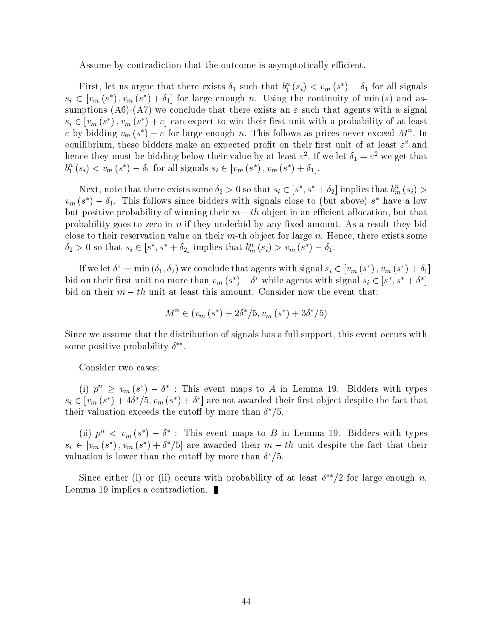Assume by contradiction that the outcome is asymptotically efficient.

First, let us argue that there exists  $o_1$  such that  $o_1$  ( $s_i$ )  $\leq v_m$  ( $s_j$ )  $\equiv o_1$  for all sighals  $s_i \in [v_m(s^*), v_m(s^*) + \delta_1]$  for large enough n. Using the continuity of min (s) and assumptions (A6)-(A7) we conclude that there exists an  $\varepsilon$  such that agents with a signal  $s_i \in [v_m(s^*) , v_m(s^*) + \varepsilon]$  can expect to win their first unit with a probability of at least  $\varepsilon$  by bidding  $v_m$  (s)  $-\varepsilon$  for large enough n. This follows as prices never exceed M  $^{\circ}$ . In equilibrium, these bidders make an expected pront on their first unit of at least  $\varepsilon^{\scriptscriptstyle -}$  and hence they must be bidding below their value by at least  $\varepsilon$  . If we let  $\sigma_1 = \varepsilon$  we get that  $b_1^n(s_i) < v_m(s^*) - \delta_1$  for all signals  $s_i \in [v_m(s^*) , v_m(s^*) + \delta_1].$ 

Next, note that there exists some  $\delta_2 > 0$  so that  $s_i \in [s^*, s^* + \delta_2]$  implies that  $b_m^m(s_i) >$  $v_m$  (s ) –  $\sigma_1$ . This follows since bidders with signals close to (but above) s have a low but positive probability of winning their  $m-th$  object in an efficient allocation, but that probability goes to zero in n if they underbid by any fixed amount. As a result they bid close to their reservation value on their  $m$ -th object for large n. Hence, there exists some  $\delta_2 > 0$  so that  $s_i \in [s^*, s^* + \delta_2]$  implies that  $b_m^m(s_i) > v_m(s^*) - \delta_1$ .

If we let  $\delta^* = \min(\delta_1, \delta_2)$  we conclude that agents with signal  $s_i \in [v_m(s^*) , v_m(s^*) + \delta_1]$ bid on their first unit no more than  $v_m$  (s<sup>\*</sup>)  $-\delta^*$  while agents with signal  $s_i \in [s^*, s^* + \delta^*]$ bid on their  $m-th$  unit at least this amount. Consider now the event that:

$$
M^{n} \in (v_{m}(s^{*}) + 2\delta^{*}/5, v_{m}(s^{*}) + 3\delta^{*}/5)
$$

Since we assume that the distribution of signals has a full support, this event occurs with some positive probability

:Consider two cases:

(i)  $p^n \geq v_m(s^*) - \delta^*$ : This event maps to A in Lemma 19. Bidders with types  $s_i \in |v_m(s^*) + 4\delta^*|$ ,  $v_m(s^*) + \delta^*|$  are not awarded their first object despite the fact that  $\mu$  their valuation exceeds the cutoff by more than  $\sigma$  /3.

(ii)  $p^{\alpha} \leq v_m(s) = 0$  : This event maps to B in Lemma 19. Bidders with types  $s_i \in |v_m(s^*)|, v_m(s^*) + \delta^*/\delta|$  are awarded their  $m-th$  unit despite the fact that their valuation is lower than the cutoff by more than  $\sigma$   $/3$ .

Since either (1) or (ii) occurs with probability of at least  $\theta$  –/2 for large enough  $n$ , Lemma 19 implies a contradiction.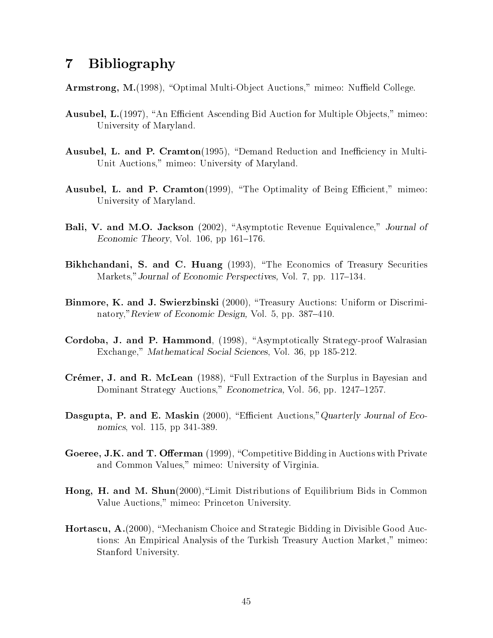#### **Bibliography**  $\overline{7}$

**Armstrong, M.**(1998), "Optimal Multi-Object Auctions," mimeo: Nuffield College.

- Ausubel, L.(1997), "An Efficient Ascending Bid Auction for Multiple Objects," mimeo: University of Maryland.
- **Ausubel, L. and P. Cramton**(1995), "Demand Reduction and Inefficiency in Multi-Unit Auctions," mimeo: University of Maryland.
- **Ausubel, L. and P. Cramton**(1999), "The Optimality of Being Efficient," mimeo: University of Maryland.
- Bali, V. and M.O. Jackson (2002), "Asymptotic Revenue Equivalence," Journal of Economic Theory, Vol.  $106$ , pp  $161-176$ .
- Bikhchandani, S. and C. Huang (1993), "The Economics of Treasury Securities Markets," Journal of Economic Perspectives, Vol. 7, pp. 117-134.
- Binmore, K. and J. Swierzbinski (2000), "Treasury Auctions: Uniform or Discriminatory,"Review of Economic Design, Vol. 5, pp. 387-410.
- Cordoba, J. and P. Hammond, (1998), "Asymptotically Strategy-proof Walrasian Exchange," Mathematical Social Sciences, Vol. 36, pp 185-212.
- Crémer, J. and R. McLean (1988), "Full Extraction of the Surplus in Bayesian and Dominant Strategy Auctions," Econometrica, Vol. 56, pp. 1247-1257.
- Dasgupta, P. and E. Maskin (2000), "Efficient Auctions," Quarterly Journal of Economics, vol. 115, pp 341-389.
- Goeree, J.K. and T. Offerman (1999), "Competitive Bidding in Auctions with Private and Common Values," mimeo: University of Virginia.
- Hong, H. and M. Shun(2000), "Limit Distributions of Equilibrium Bids in Common Value Auctions," mimeo: Princeton University.
- **Hortascu, A.**(2000), "Mechanism Choice and Strategic Bidding in Divisible Good Auctions: An Empirical Analysis of the Turkish Treasury Auction Market," mimeo: Stanford University.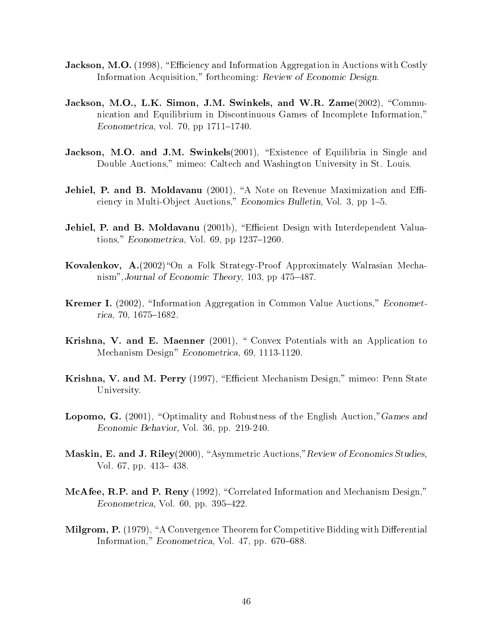- **Jackson, M.O.** (1998), "Efficiency and Information Aggregation in Auctions with Costly Information Acquisition," forthcoming: Review of Economic Design.
- Jackson, M.O., L.K. Simon, J.M. Swinkels, and W.R.  $Zame(2002)$ , "Communication and Equilibrium in Discontinuous Games of Incomplete Information," Econometrica, vol. 70, pp  $1711-1740$ .
- Jackson, M.O. and J.M. Swinkels(2001), "Existence of Equilibria in Single and Double Auctions," mimeo: Caltech and Washington University in St. Louis.
- Jehiel, P. and B. Moldavanu (2001), "A Note on Revenue Maximization and Efficiency in Multi-Object Auctions," Economics Bulletin, Vol. 3, pp 1-5.
- **Jehiel, P. and B. Moldavanu** (2001b), "Efficient Design with Interdependent Valuations," Econometrica, Vol. 69, pp  $1237-1260$ .
- **Kovalenkov, A.**(2002) On a Folk Strategy-Proof Approximately Walrasian Mechanism", Journal of Economic Theory, 103, pp  $475-487$ .
- **Kremer I.** (2002), "Information Aggregation in Common Value Auctions," *Economet*rica, 70, 1675-1682.
- Krishna, V. and E. Maenner (2001), " Convex Potentials with an Application to Mechanism Design" Econometrica, 69, 1113-1120.
- Krishna, V. and M. Perry (1997), "Efficient Mechanism Design," mimeo: Penn State University.
- **Lopomo, G.** (2001), "Optimality and Robustness of the English Auction," Games and Economic Behavior, Vol. 36, pp. 219-240.
- Maskin, E. and J. Riley(2000), "Asymmetric Auctions," Review of Economics Studies, Vol. 67, pp. 413–438.
- McAfee, R.P. and P. Reny (1992), "Correlated Information and Mechanism Design," Econometrica, Vol. 60, pp.  $395-422$ .
- **Milgrom, P.** (1979), "A Convergence Theorem for Competitive Bidding with Differential Information," Econometrica, Vol. 47, pp. 670–688.